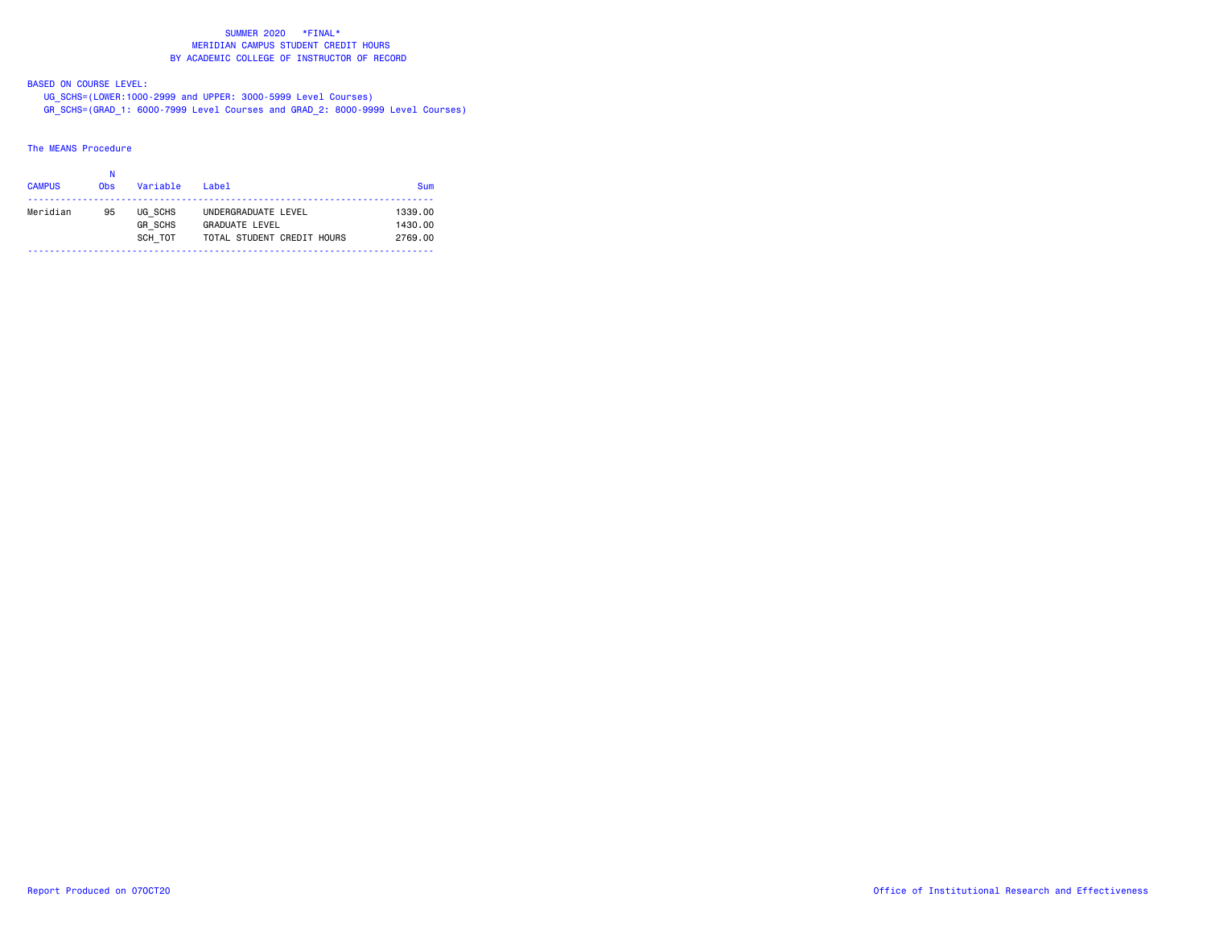BASED ON COURSE LEVEL:

 UG\_SCHS=(LOWER:1000-2999 and UPPER: 3000-5999 Level Courses) GR\_SCHS=(GRAD\_1: 6000-7999 Level Courses and GRAD\_2: 8000-9999 Level Courses)

### The MEANS Procedure

| <b>CAMPUS</b> | Ν<br><b>Obs</b> | Variable       | Label                      | Sum     |
|---------------|-----------------|----------------|----------------------------|---------|
| Meridian      | 95              | UG SCHS        | UNDERGRADUATE LEVEL        | 1339.00 |
|               |                 | <b>GR SCHS</b> | <b>GRADUATE LEVEL</b>      | 1430.00 |
|               |                 | SCH TOT        | TOTAL STUDENT CREDIT HOURS | 2769.00 |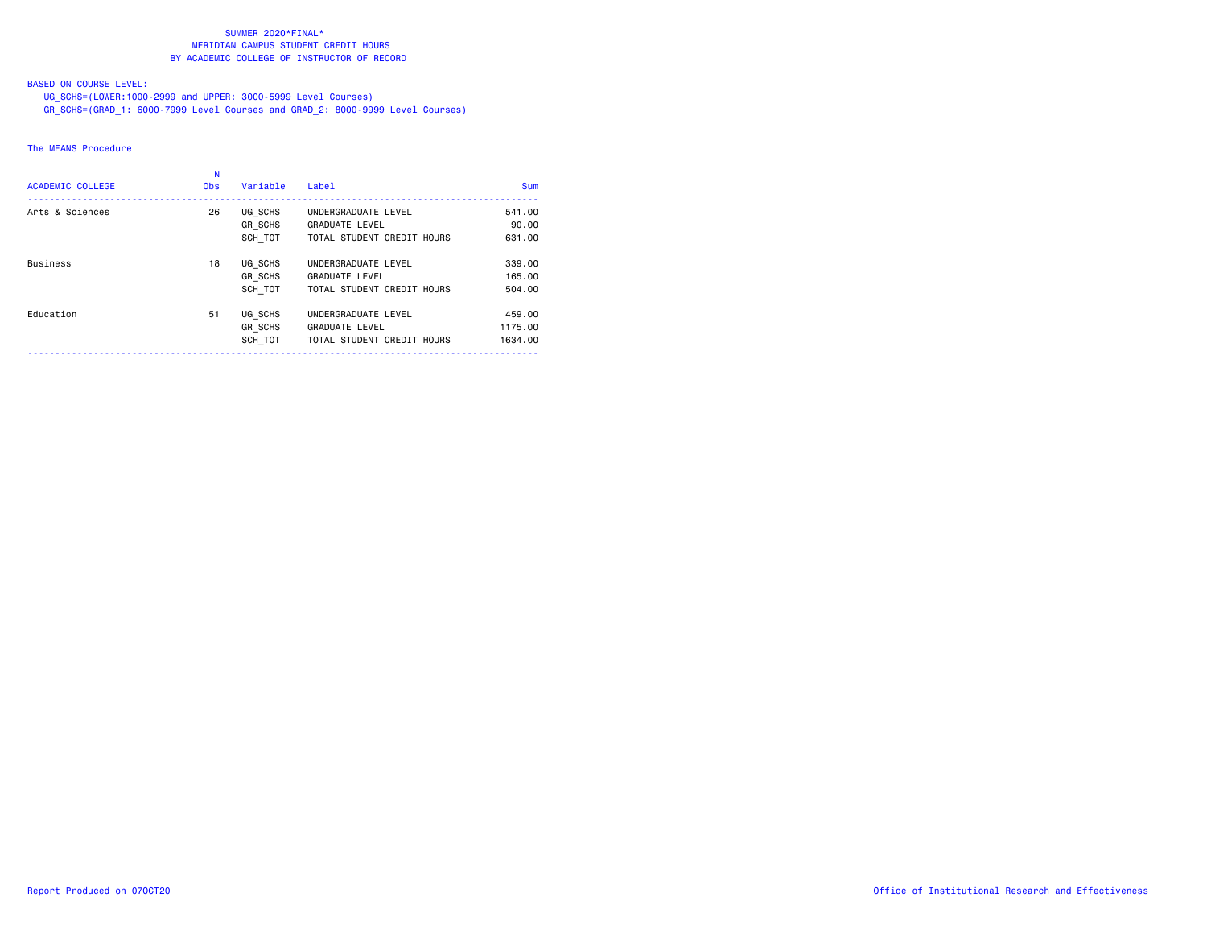# BASED ON COURSE LEVEL:

UG\_SCHS=(LOWER:1000-2999 and UPPER: 3000-5999 Level Courses)

GR\_SCHS=(GRAD\_1: 6000-7999 Level Courses and GRAD\_2: 8000-9999 Level Courses)

# The MEANS Procedure

| <b>ACADEMIC COLLEGE</b> | <b>Obs</b> | Variable                             | Label                                                                      | <b>Sum</b>                   |
|-------------------------|------------|--------------------------------------|----------------------------------------------------------------------------|------------------------------|
| Arts & Sciences         | 26         | UG SCHS<br><b>GR SCHS</b><br>SCH TOT | UNDERGRADUATE LEVEL<br><b>GRADUATE LEVEL</b><br>TOTAL STUDENT CREDIT HOURS | 541.00<br>90.00<br>631,00    |
| <b>Business</b>         | 18         | UG SCHS<br>GR SCHS<br>SCH TOT        | UNDERGRADUATE LEVEL<br><b>GRADUATE LEVEL</b><br>TOTAL STUDENT CREDIT HOURS | 339,00<br>165.00<br>504.00   |
| Education               | 51         | UG SCHS<br><b>GR SCHS</b><br>SCH TOT | UNDERGRADUATE LEVEL<br><b>GRADUATE LEVEL</b><br>TOTAL STUDENT CREDIT HOURS | 459,00<br>1175.00<br>1634,00 |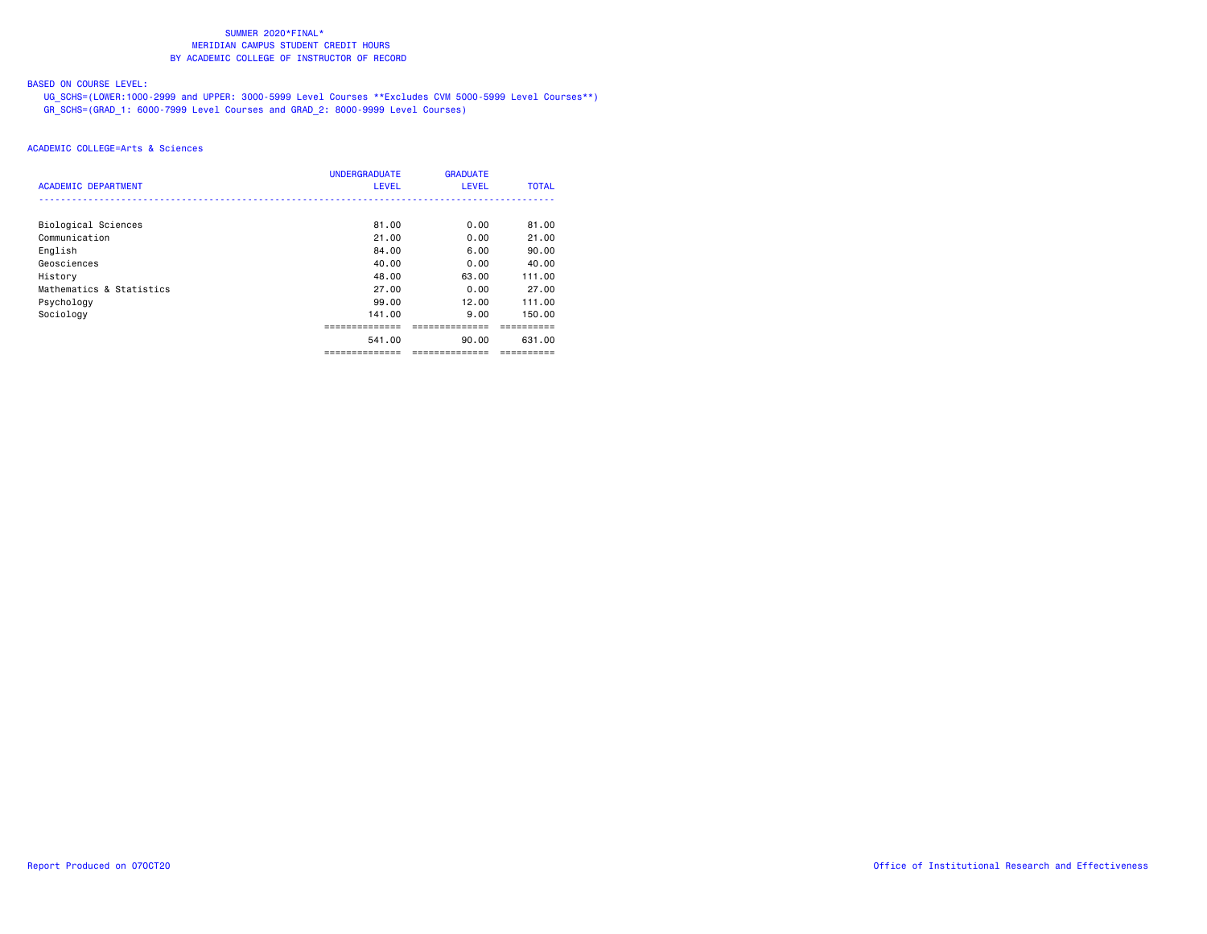# BASED ON COURSE LEVEL:

 UG\_SCHS=(LOWER:1000-2999 and UPPER: 3000-5999 Level Courses \*\*Excludes CVM 5000-5999 Level Courses\*\*) GR\_SCHS=(GRAD\_1: 6000-7999 Level Courses and GRAD\_2: 8000-9999 Level Courses)

| <b>ACADEMIC DEPARTMENT</b> | <b>UNDERGRADUATE</b><br><b>LEVEL</b> | <b>GRADUATE</b><br><b>LEVEL</b> | <b>TOTAL</b> |
|----------------------------|--------------------------------------|---------------------------------|--------------|
| Biological Sciences        | 81.00                                | 0.00                            | 81.00        |
| Communication              | 21.00                                | 0.00                            | 21.00        |
| English                    | 84.00                                | 6.00                            | 90.00        |
| Geosciences                | 40.00                                | 0.00                            | 40.00        |
| History                    | 48.00                                | 63.00                           | 111.00       |
| Mathematics & Statistics   | 27.00                                | 0.00                            | 27.00        |
| Psychology                 | 99.00                                | 12.00                           | 111.00       |
| Sociology                  | 141.00                               | 9.00                            | 150.00       |
|                            | ----------                           |                                 |              |
|                            | 541.00                               | 90.00                           | 631.00       |
|                            | --------                             | ----------                      |              |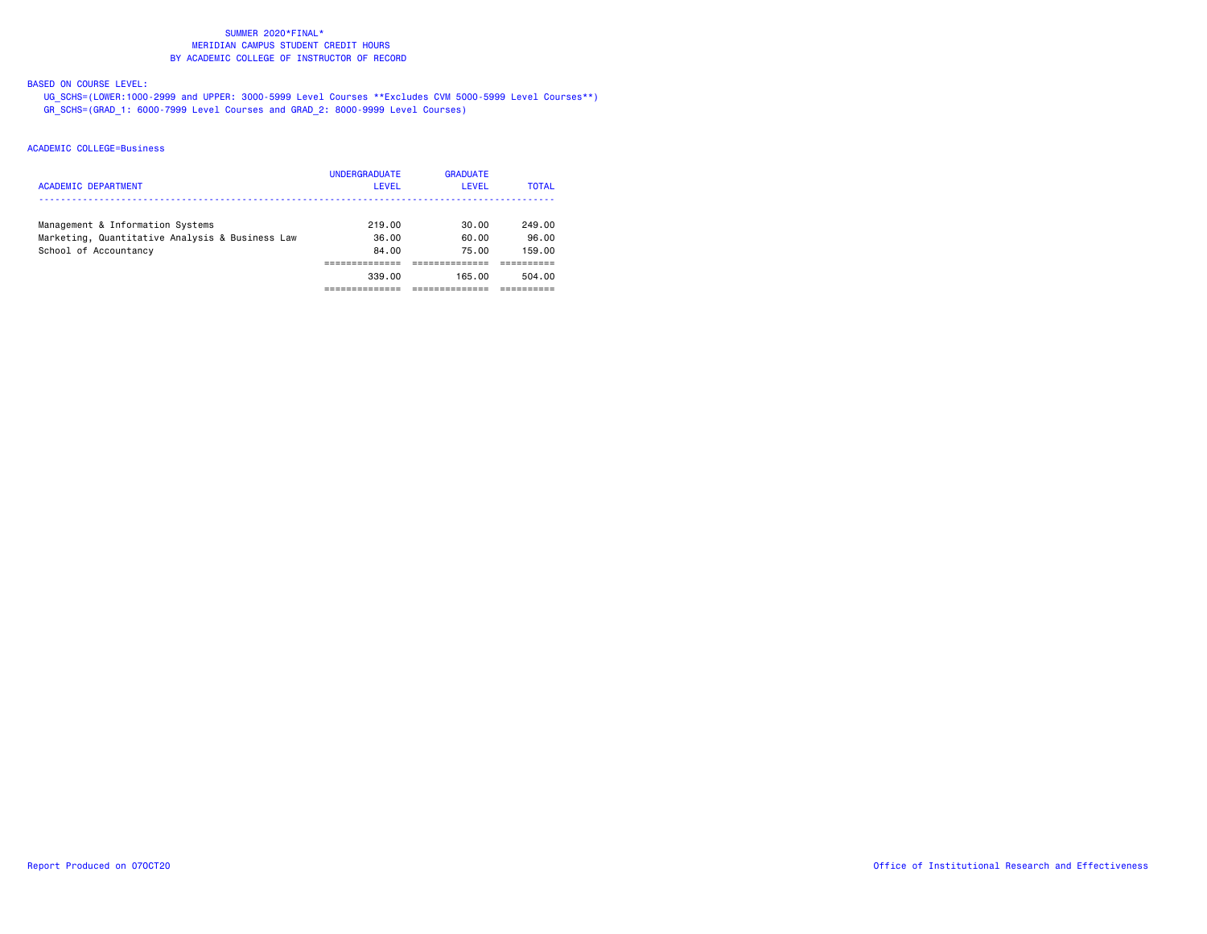# BASED ON COURSE LEVEL:

 UG\_SCHS=(LOWER:1000-2999 and UPPER: 3000-5999 Level Courses \*\*Excludes CVM 5000-5999 Level Courses\*\*) GR\_SCHS=(GRAD\_1: 6000-7999 Level Courses and GRAD\_2: 8000-9999 Level Courses)

| <b>ACADEMIC DEPARTMENT</b>                      | <b>UNDERGRADUATE</b><br><b>LEVEL</b> | <b>GRADUATE</b><br>LEVEL | <b>TOTAL</b> |
|-------------------------------------------------|--------------------------------------|--------------------------|--------------|
| Management & Information Systems                | 219.00                               | 30.00                    | 249.00       |
| Marketing, Quantitative Analysis & Business Law | 36.00                                | 60.00                    | 96.00        |
| School of Accountancy                           | 84.00                                | 75.00                    | 159.00       |
|                                                 |                                      |                          |              |
|                                                 | 339.00                               | 165.00                   | 504.00       |
|                                                 |                                      |                          |              |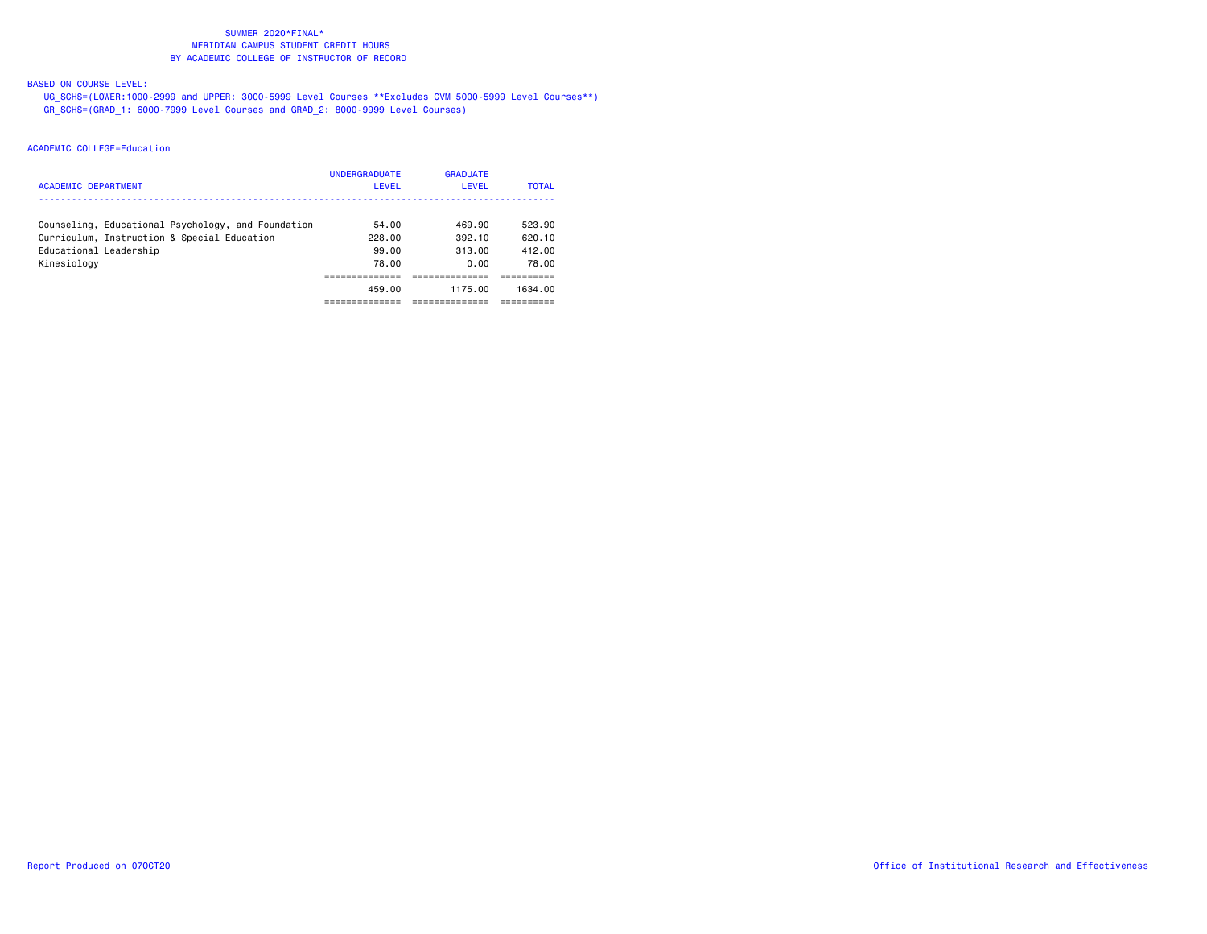# BASED ON COURSE LEVEL:

 UG\_SCHS=(LOWER:1000-2999 and UPPER: 3000-5999 Level Courses \*\*Excludes CVM 5000-5999 Level Courses\*\*) GR\_SCHS=(GRAD\_1: 6000-7999 Level Courses and GRAD\_2: 8000-9999 Level Courses)

| <b>ACADEMIC DEPARTMENT</b>                         | <b>UNDERGRADUATE</b><br><b>LEVEL</b> | <b>GRADUATE</b><br>LEVEL | <b>TOTAL</b> |
|----------------------------------------------------|--------------------------------------|--------------------------|--------------|
| Counseling, Educational Psychology, and Foundation | 54.00                                | 469.90                   | 523.90       |
| Curriculum, Instruction & Special Education        | 228.00                               | 392.10                   | 620.10       |
| Educational Leadership                             | 99.00                                | 313.00                   | 412.00       |
| Kinesiology                                        | 78.00                                | 0.00                     | 78.00        |
|                                                    |                                      |                          |              |
|                                                    | 459.00                               | 1175.00                  | 1634.00      |
|                                                    |                                      |                          |              |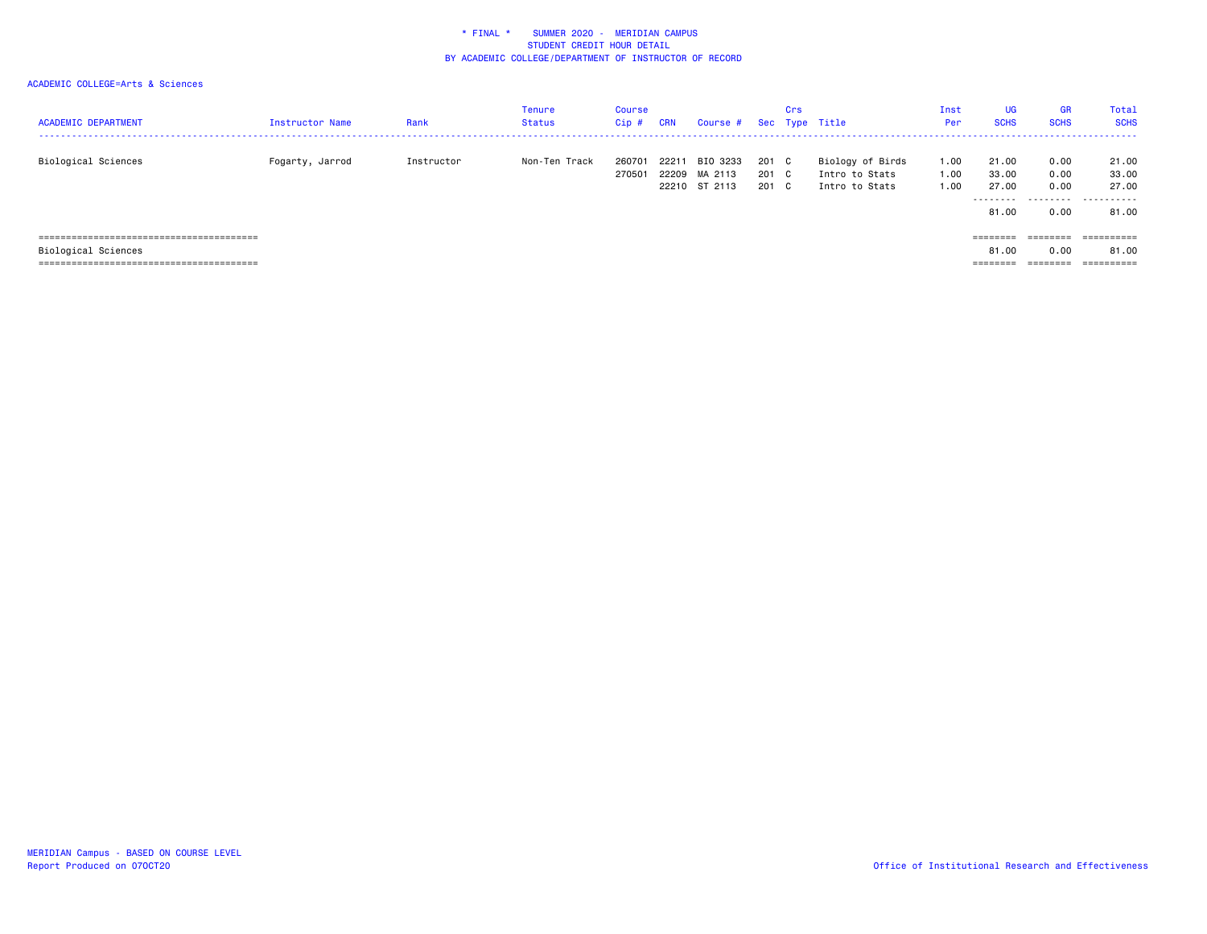# ACADEMIC COLLEGE=Arts & Sciences

| <b>ACADEMIC DEPARTMENT</b> | Instructor Name | Rank       | <b>Tenure</b><br><b>Status</b> | Course<br>Cip#   | <b>CRN</b> | Course # Sec Type Title                    |                         | Crs |                                                      | Inst<br>Per          | <b>UG</b><br><b>SCHS</b>                     | <b>GR</b><br><b>SCHS</b>     | Total<br><b>SCHS</b>                           |
|----------------------------|-----------------|------------|--------------------------------|------------------|------------|--------------------------------------------|-------------------------|-----|------------------------------------------------------|----------------------|----------------------------------------------|------------------------------|------------------------------------------------|
| Biological Sciences        | Fogarty, Jarrod | Instructor | Non-Ten Track                  | 260701<br>270501 | 22211      | BIO 3233<br>22209 MA 2113<br>22210 ST 2113 | 201 C<br>201 C<br>201 C |     | Biology of Birds<br>Intro to Stats<br>Intro to Stats | 1.00<br>1.00<br>1.00 | 21.00<br>33.00<br>27.00<br>--------<br>81.00 | 0.00<br>0.00<br>0.00<br>0.00 | 21.00<br>33.00<br>27.00<br>----------<br>81.00 |
| Biological Sciences        |                 |            |                                |                  |            |                                            |                         |     |                                                      |                      | ========<br>81.00                            | $=$ = = = = = = =<br>0.00    | ==========<br>81,00                            |

======================================== ======== ======== ==========

MERIDIAN Campus - BASED ON COURSE LEVEL<br>Report Produced on 070CT20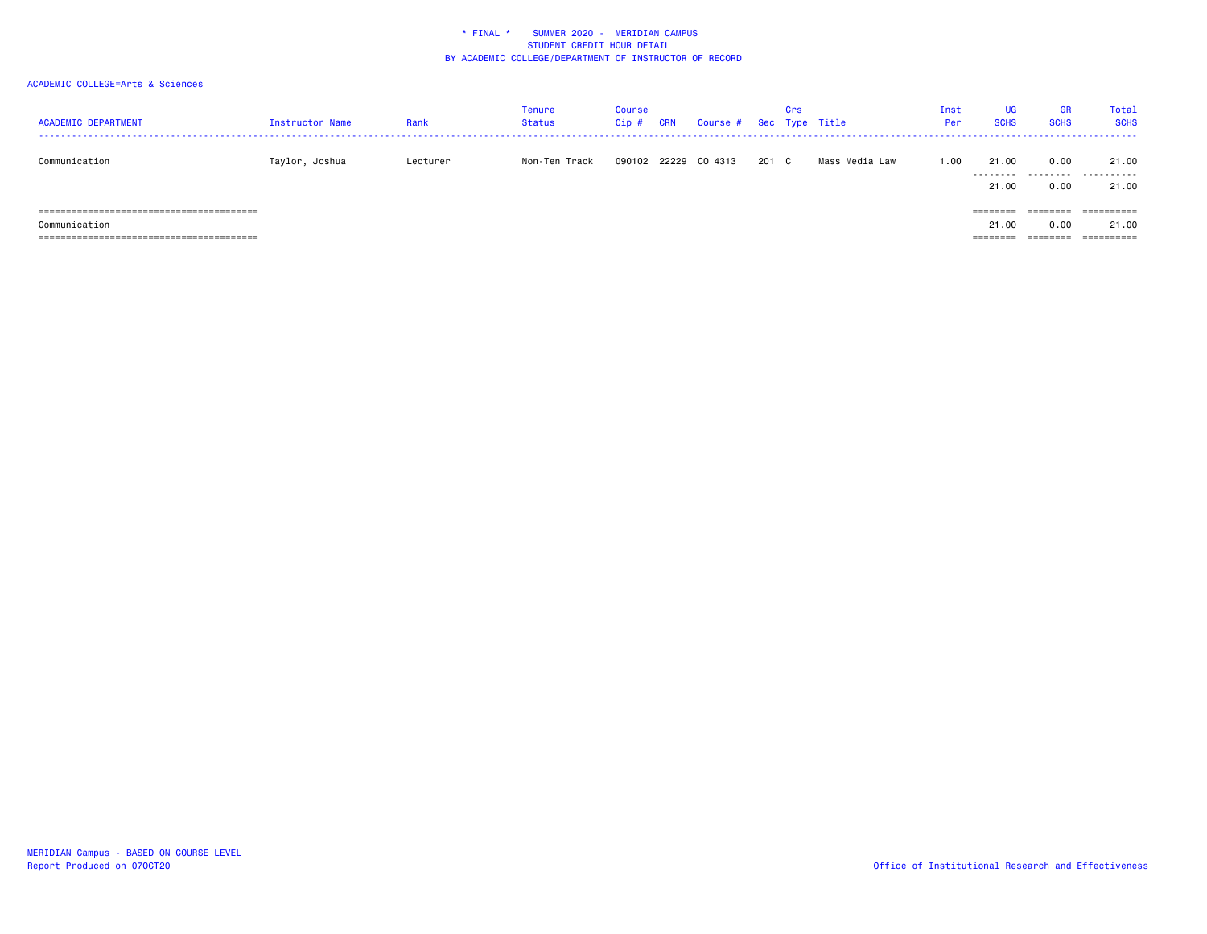| <b>ACADEMIC DEPARTMENT</b> | Instructor Name | Rank     | Tenure<br><b>Status</b> | <b>Course</b><br>Cip# | <b>CRN</b> | Course # Sec Type Title |     | Crs |                | Inst<br>Per | UG<br><b>SCHS</b>                          | <b>GR</b><br><b>SCHS</b>              | Total<br><b>SCHS</b>                                    |
|----------------------------|-----------------|----------|-------------------------|-----------------------|------------|-------------------------|-----|-----|----------------|-------------|--------------------------------------------|---------------------------------------|---------------------------------------------------------|
| Communication              | Taylor, Joshua  | Lecturer | Non-Ten Track           | 090102                | 22229      | CO 4313                 | 201 | C.  | Mass Media Law | 1.00        | 21.00<br>.<br>21.00                        | 0.00<br>0.00                          | 21.00<br><br>21.00                                      |
| Communication              |                 |          |                         |                       |            |                         |     |     |                |             | ========<br>21.00<br>---------<br>-------- | $=$ = = = = = = =<br>0.00<br>======== | $=$ = = = = = = = = =<br>21.00<br>$=$ = = = = = = = = = |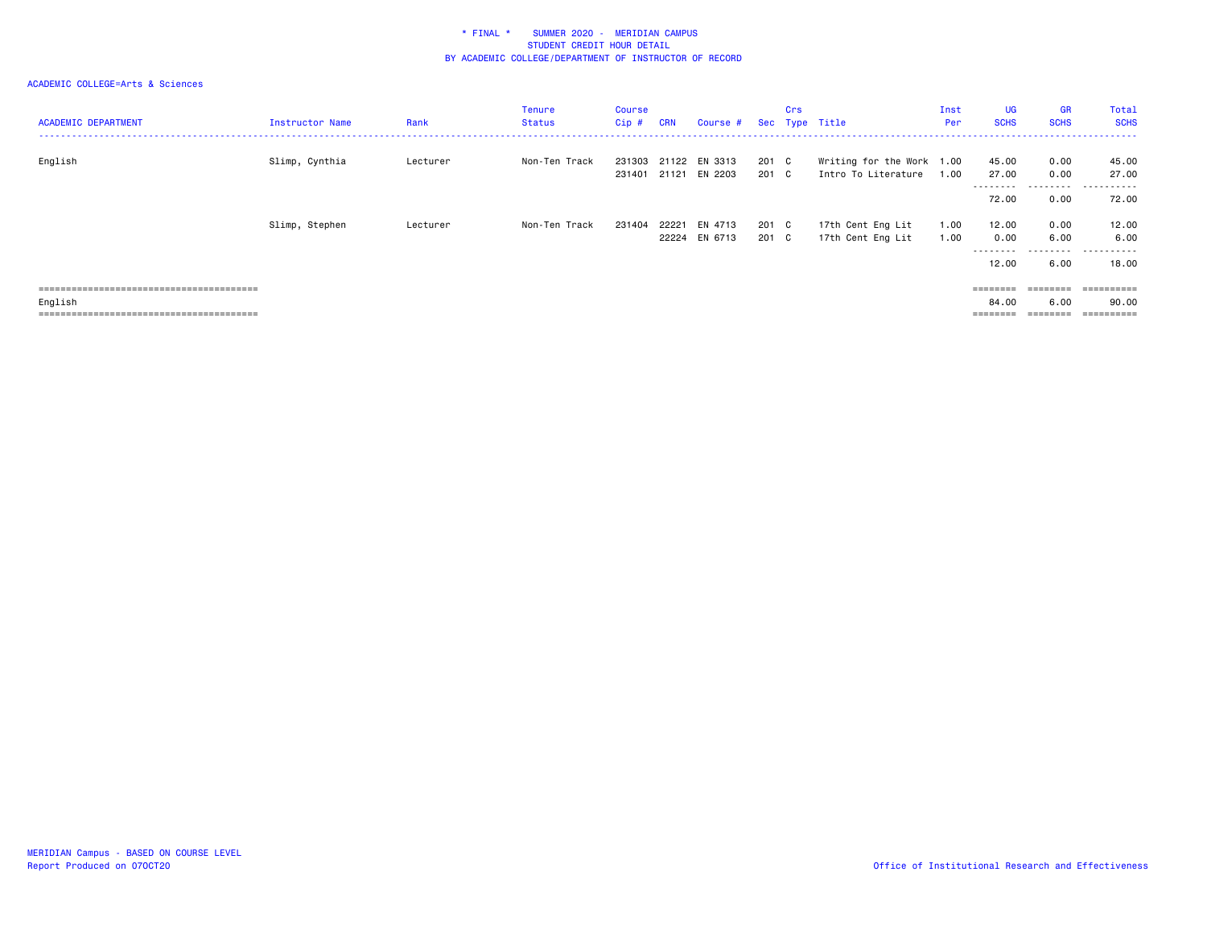| <b>ACADEMIC DEPARTMENT</b> | Instructor Name | Rank     | <b>Tenure</b><br><b>Status</b> | Course<br>Cip# | <b>CRN</b> | Course #                              |                | Crs | Sec Type Title                                   | Inst<br>Per  | <b>UG</b><br><b>SCHS</b>    | <b>GR</b><br><b>SCHS</b>             | Total<br><b>SCHS</b>              |
|----------------------------|-----------------|----------|--------------------------------|----------------|------------|---------------------------------------|----------------|-----|--------------------------------------------------|--------------|-----------------------------|--------------------------------------|-----------------------------------|
| English                    | Slimp, Cynthia  | Lecturer | Non-Ten Track                  | 231401         |            | 231303 21122 EN 3313<br>21121 EN 2203 | 201 C<br>201 C |     | Writing for the Work 1.00<br>Intro To Literature | 1.00         | 45.00<br>27.00<br>--------- | 0.00<br>0.00<br>---------            | 45.00<br>27.00<br>------<br>$ -$  |
|                            |                 |          |                                |                |            |                                       |                |     |                                                  |              | 72.00                       | 0.00                                 | 72.00                             |
|                            | Slimp, Stephen  | Lecturer | Non-Ten Track                  | 231404         | 22221      | EN 4713<br>22224 EN 6713              | 201 C<br>201 C |     | 17th Cent Eng Lit<br>17th Cent Eng Lit           | 1.00<br>1.00 | 12.00<br>0.00<br>---------  | 0.00<br>6.00<br>---------            | 12.00<br>6.00<br>.                |
|                            |                 |          |                                |                |            |                                       |                |     |                                                  |              | 12.00                       | 6.00                                 | 18,00                             |
| English                    |                 |          |                                |                |            |                                       |                |     |                                                  |              | 84.00                       | $=$ = = = = = = =<br>6.00<br>_______ | ==========<br>90.00<br>========== |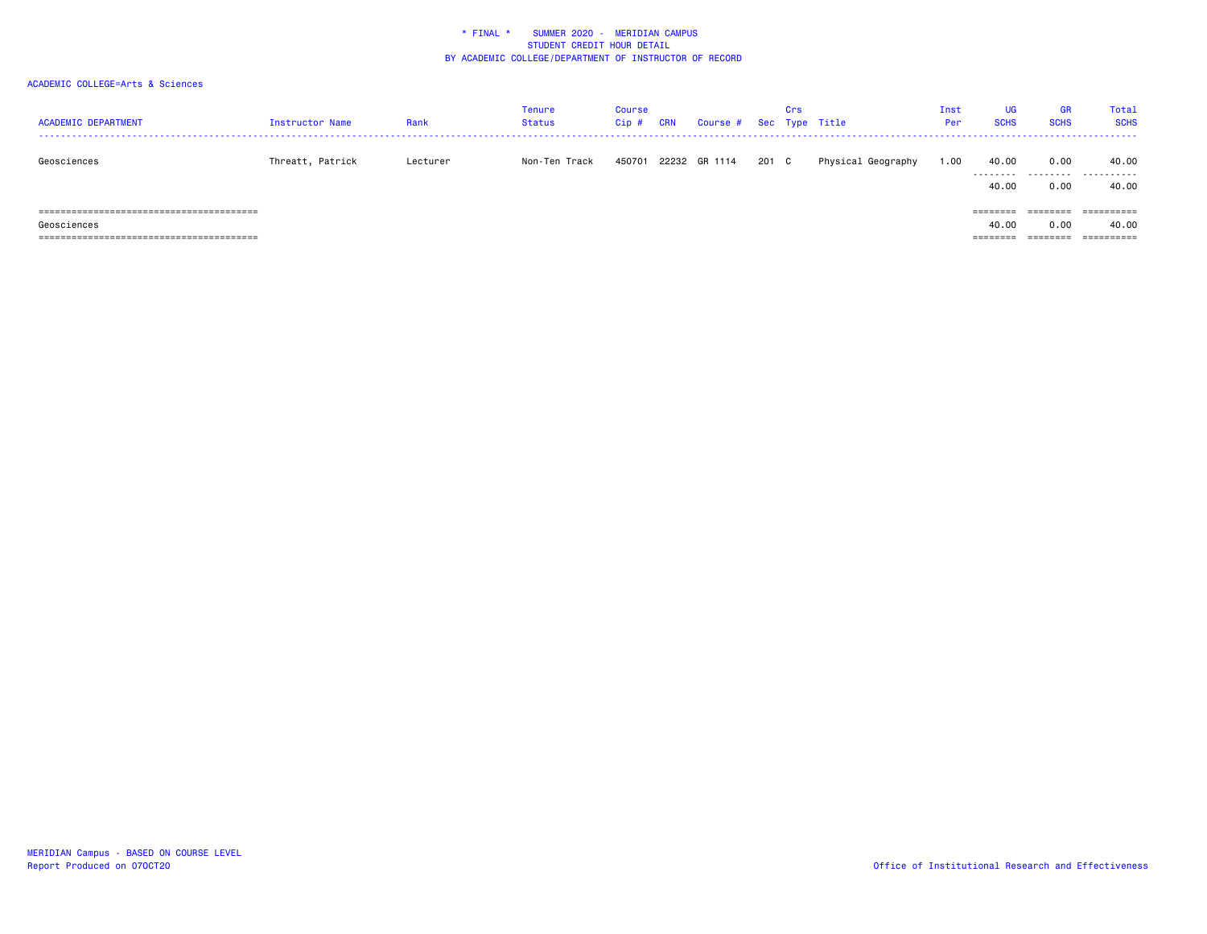| <b>ACADEMIC DEPARTMENT</b> | Instructor Name  | Rank     | Tenure<br><b>Status</b> | Course<br>Cip# | <b>CRN</b> | Course # Sec Type Title |       | Crs |                    | Inst<br>Per | <b>UG</b><br><b>SCHS</b>               | <b>GR</b><br><b>SCHS</b> | Total<br><b>SCHS</b> |
|----------------------------|------------------|----------|-------------------------|----------------|------------|-------------------------|-------|-----|--------------------|-------------|----------------------------------------|--------------------------|----------------------|
| Geosciences                | Threatt, Patrick | Lecturer | Non-Ten Track           | 450701         |            | 22232 GR 1114           | 201 C |     | Physical Geography | 1.00        | 40.00<br>.<br>40.00                    | 0.00<br>.<br>0.00        | 40.00<br>.<br>40.00  |
| Geosciences                |                  |          |                         |                |            |                         |       |     |                    |             | ========<br>40.00<br>$=$ = = = = = = = | 0.00<br>_______          | 40.00                |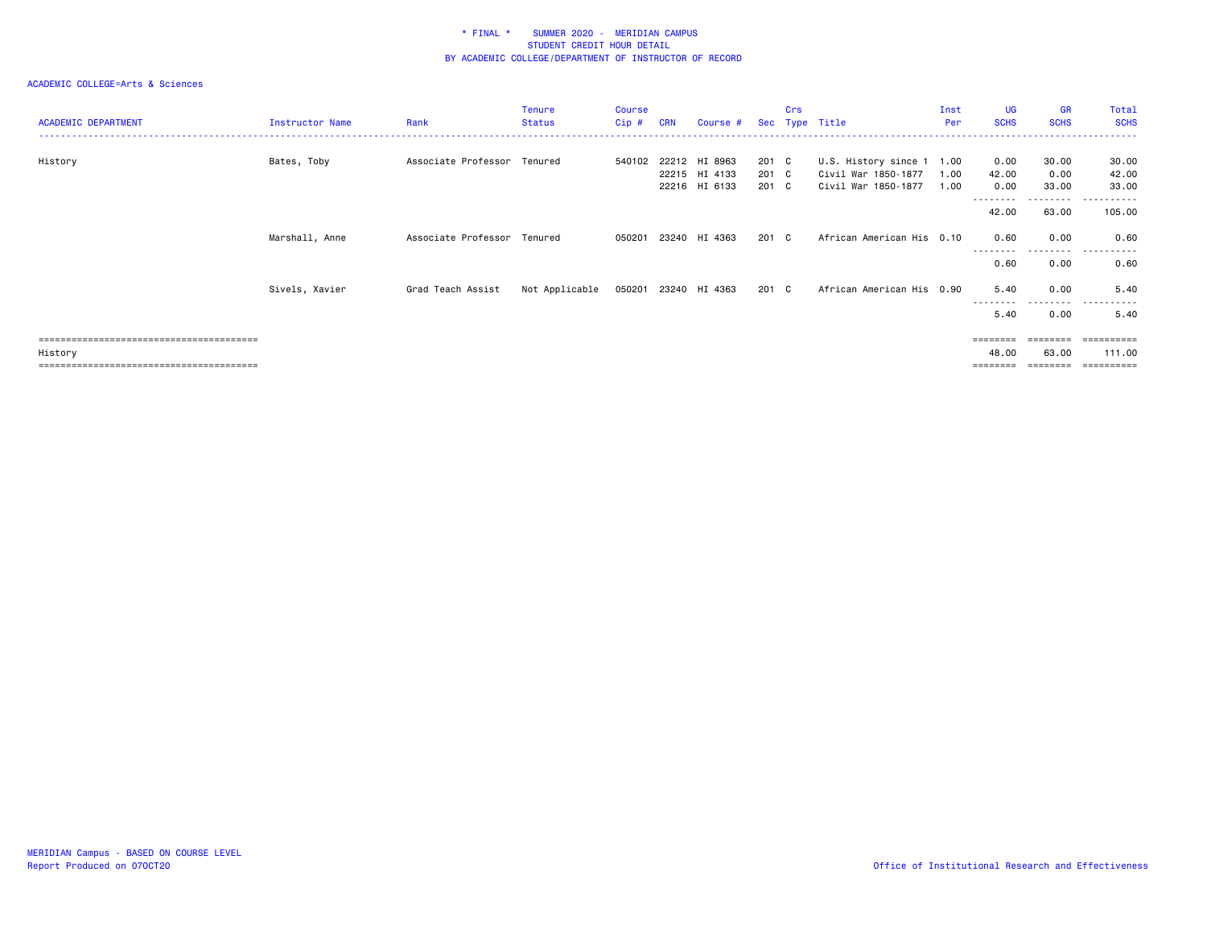| <b>ACADEMIC DEPARTMENT</b> | Instructor Name | Rank                        | <b>Tenure</b><br><b>Status</b> | Course<br>Cip# | <b>CRN</b> | Course #                                        |                         | Crs | Sec Type Title                                                          | Inst<br>Per  | UG<br><b>SCHS</b>     | <b>GR</b><br><b>SCHS</b> | Total<br><b>SCHS</b>         |
|----------------------------|-----------------|-----------------------------|--------------------------------|----------------|------------|-------------------------------------------------|-------------------------|-----|-------------------------------------------------------------------------|--------------|-----------------------|--------------------------|------------------------------|
| History                    | Bates, Toby     | Associate Professor Tenured |                                | 540102         |            | 22212 HI 8963<br>22215 HI 4133<br>22216 HI 6133 | 201 C<br>201 C<br>201 C |     | U.S. History since 1 1.00<br>Civil War 1850-1877<br>Civil War 1850-1877 | 1.00<br>1.00 | 0.00<br>42.00<br>0.00 | 30.00<br>0.00<br>33.00   | 30.00<br>42.00<br>33.00      |
|                            |                 |                             |                                |                |            |                                                 |                         |     |                                                                         |              | ---------<br>42.00    | . <b>.</b> .<br>63.00    | <u>- - - - - -</u><br>105.00 |
|                            | Marshall, Anne  | Associate Professor Tenured |                                | 050201         |            | 23240 HI 4363                                   | 201 C                   |     | African American His 0.10                                               |              | 0.60                  | 0.00<br><u>.</u>         | 0.60<br>$- - - -$<br>.       |
|                            |                 |                             |                                |                |            |                                                 |                         |     |                                                                         |              | 0.60                  | 0.00                     | 0.60                         |
|                            | Sivels, Xavier  | Grad Teach Assist           | Not Applicable                 |                |            | 050201 23240 HI 4363                            | 201 C                   |     | African American His 0.90                                               |              | 5.40                  | 0.00                     | 5.40                         |
|                            |                 |                             |                                |                |            |                                                 |                         |     |                                                                         |              | 5.40                  | ---------<br>0.00        | ----<br>5.40                 |
|                            |                 |                             |                                |                |            |                                                 |                         |     |                                                                         |              | ========              | $=$ = = = = = = =        | ==========                   |
| History                    |                 |                             |                                |                |            |                                                 |                         |     |                                                                         |              | 48.00                 | 63.00                    | 111.00                       |
|                            |                 |                             |                                |                |            |                                                 |                         |     |                                                                         |              | ========              | ========                 | -----------                  |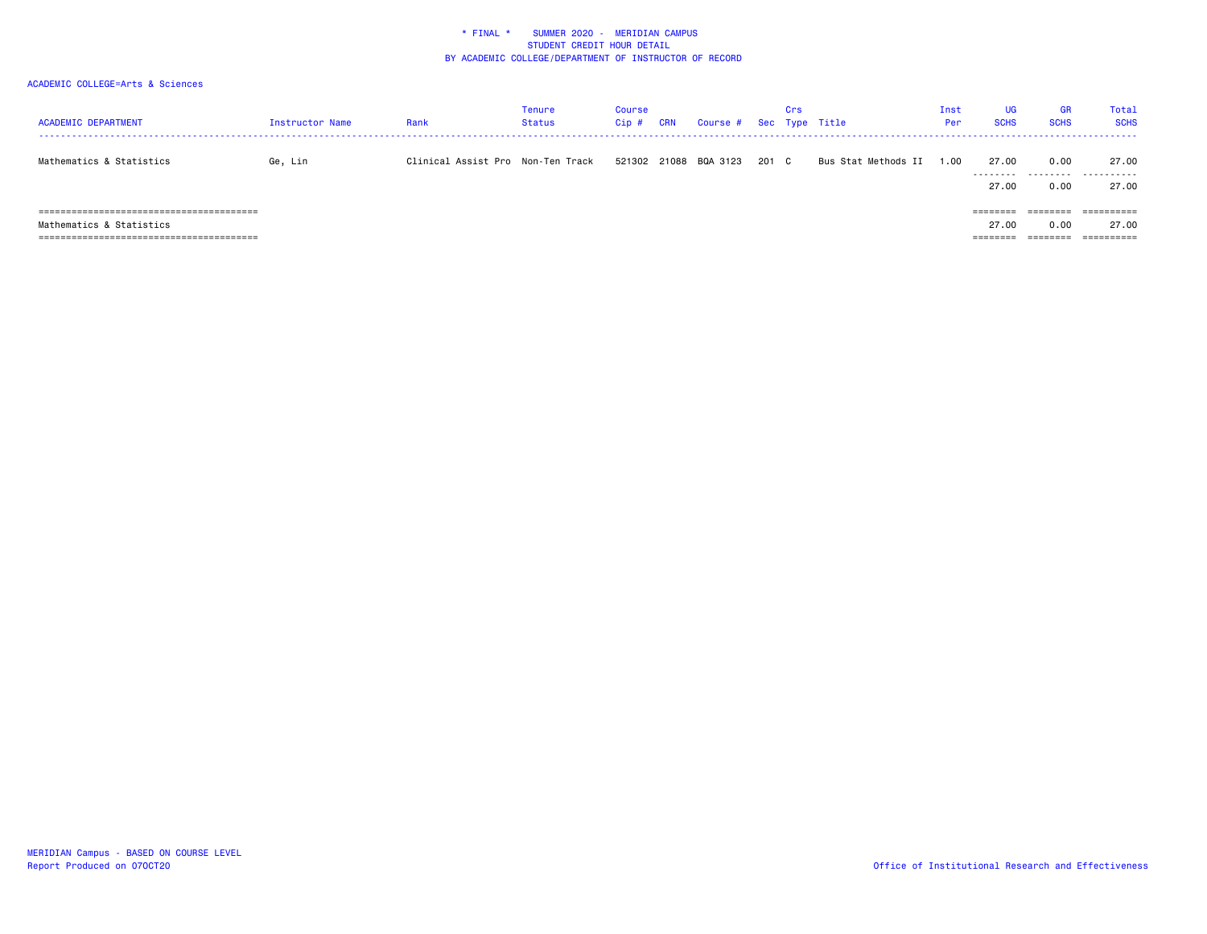| <b>ACADEMIC DEPARTMENT</b> | Instructor Name | Rank                              | Tenure<br>Status | <b>Course</b><br>Cip# | <b>CRN</b> | Course # Sec Type Title |       | Crs |                     | Inst<br>Per | UG<br><b>SCHS</b>             | <b>GR</b><br><b>SCHS</b>                           | Total<br><b>SCHS</b>                                    |
|----------------------------|-----------------|-----------------------------------|------------------|-----------------------|------------|-------------------------|-------|-----|---------------------|-------------|-------------------------------|----------------------------------------------------|---------------------------------------------------------|
| Mathematics & Statistics   | Ge, Lin         | Clinical Assist Pro Non-Ten Track |                  |                       |            | 521302 21088 BQA 3123   | 201 C |     | Bus Stat Methods II | .00         | 27.00<br>.<br>27.00           | 0.00<br>0.00                                       | 27.00<br><br>27.00                                      |
| Mathematics & Statistics   |                 |                                   |                  |                       |            |                         |       |     |                     |             | ========<br>27.00<br>-------- | $=$ = = = = = = =<br>0.00<br>---------<br>-------- | $=$ = = = = = = = = =<br>27.00<br>$=$ = = = = = = = = = |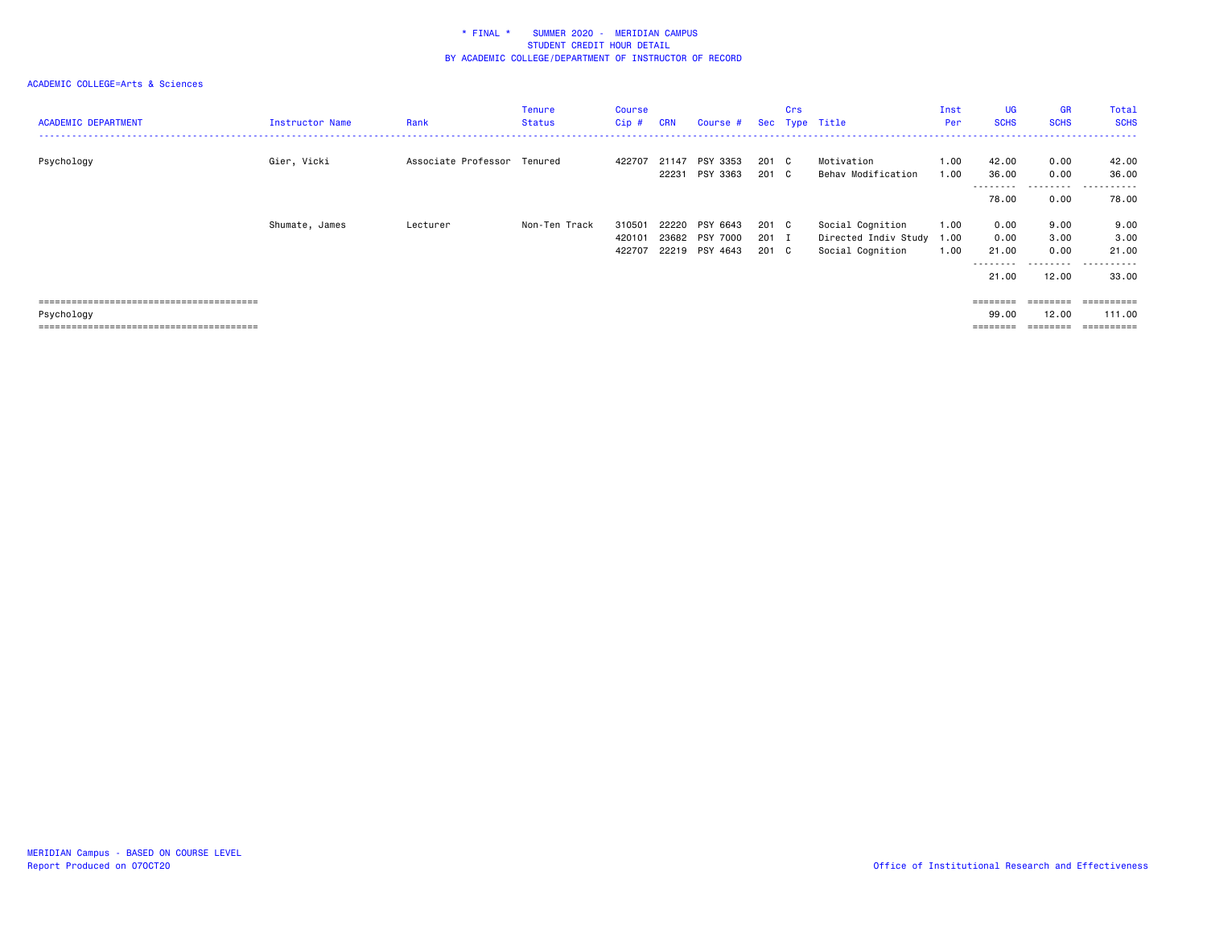| <b>ACADEMIC DEPARTMENT</b> | Instructor Name | Rank                        | <b>Tenure</b><br><b>Status</b> | <b>Course</b><br>Cip# | <b>CRN</b>     | Course #             |                | Crs | Sec Type Title                           | Inst<br>Per  | <b>UG</b><br><b>SCHS</b>    | <b>GR</b><br><b>SCHS</b>  | Total<br><b>SCHS</b>             |
|----------------------------|-----------------|-----------------------------|--------------------------------|-----------------------|----------------|----------------------|----------------|-----|------------------------------------------|--------------|-----------------------------|---------------------------|----------------------------------|
| Psychology                 | Gier, Vicki     | Associate Professor Tenured |                                | 422707                | 21147<br>22231 | PSY 3353<br>PSY 3363 | 201 C<br>201 C |     | Motivation<br>Behav Modification         | 1.00<br>1.00 | 42.00<br>36.00<br>--------- | 0.00<br>0.00<br>--------- | 42.00<br>36.00<br>------<br>$ -$ |
|                            |                 |                             |                                |                       |                |                      |                |     |                                          |              | 78.00                       | 0.00                      | 78.00                            |
|                            | Shumate, James  | Lecturer                    | Non-Ten Track                  | 310501<br>420101      | 22220<br>23682 | PSY 6643<br>PSY 7000 | 201 C<br>201 I |     | Social Cognition<br>Directed Indiv Study | 1.00<br>1.00 | 0.00<br>0.00                | 9.00<br>3.00              | 9.00<br>3.00                     |
|                            |                 |                             |                                | 422707                | 22219          | PSY 4643             | 201 C          |     | Social Cognition                         | 1.00         | 21.00<br>---------          | 0.00<br>--------          | 21.00<br>------<br>$ -$          |
|                            |                 |                             |                                |                       |                |                      |                |     |                                          |              | 21.00                       | 12.00                     | 33.00                            |
|                            |                 |                             |                                |                       |                |                      |                |     |                                          |              | $= 222222222$               | $=$ = = = = = = =         | ==========                       |
| Psychology                 |                 |                             |                                |                       |                |                      |                |     |                                          |              | 99.00                       | 12.00                     | 111.00                           |
|                            |                 |                             |                                |                       |                |                      |                |     |                                          |              | ========                    | ========                  | ==========                       |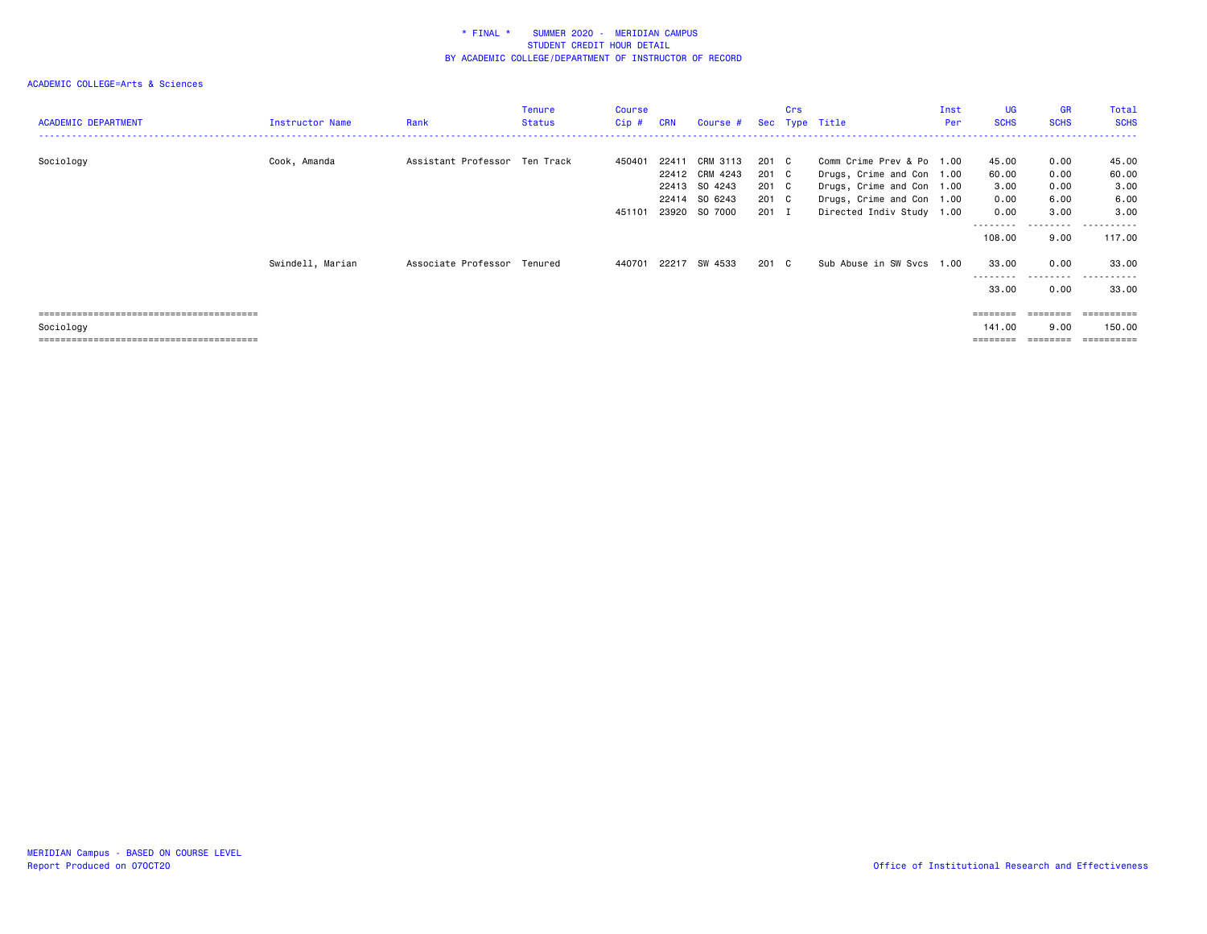| <b>ACADEMIC DEPARTMENT</b> | Instructor Name  | Rank                          | <b>Tenure</b><br><b>Status</b> | Course<br>Cip # | <b>CRN</b> | Course #                                    |                         | Crs | Sec Type Title                                                                      | Inst<br>Per | <b>UG</b><br><b>SCHS</b>                | <b>GR</b><br><b>SCHS</b>             | Total<br><b>SCHS</b>          |
|----------------------------|------------------|-------------------------------|--------------------------------|-----------------|------------|---------------------------------------------|-------------------------|-----|-------------------------------------------------------------------------------------|-------------|-----------------------------------------|--------------------------------------|-------------------------------|
| Sociology                  | Cook, Amanda     | Assistant Professor Ten Track |                                | 450401          | 22411      | CRM 3113<br>22412 CRM 4243<br>22413 SO 4243 | 201 C<br>201 C<br>201 C |     | Comm Crime Prev & Po 1.00<br>Drugs, Crime and Con 1.00<br>Drugs, Crime and Con 1.00 |             | 45.00<br>60.00<br>3.00                  | 0.00<br>0.00<br>0.00                 | 45.00<br>60.00<br>3.00        |
|                            |                  |                               |                                | 451101          |            | 22414 SO 6243<br>23920 SO 7000              | 201 C<br>201 I          |     | Drugs, Crime and Con 1.00<br>Directed Indiv Study 1.00                              |             | 0.00<br>0.00<br>---------<br>108,00     | 6.00<br>3.00<br>.<br>9.00            | 6.00<br>3.00<br>.<br>117.00   |
|                            | Swindell, Marian | Associate Professor Tenured   |                                | 440701          | 22217      | SW 4533                                     | 201 C                   |     | Sub Abuse in SW Svcs 1.00                                                           |             | 33.00<br>---------                      | 0.00<br>---------                    | 33,00<br>.                    |
| Sociology                  |                  |                               |                                |                 |            |                                             |                         |     |                                                                                     |             | 33.00<br>========<br>141.00<br>======== | 0.00<br>========<br>9.00<br>======== | 33.00<br>==========<br>150.00 |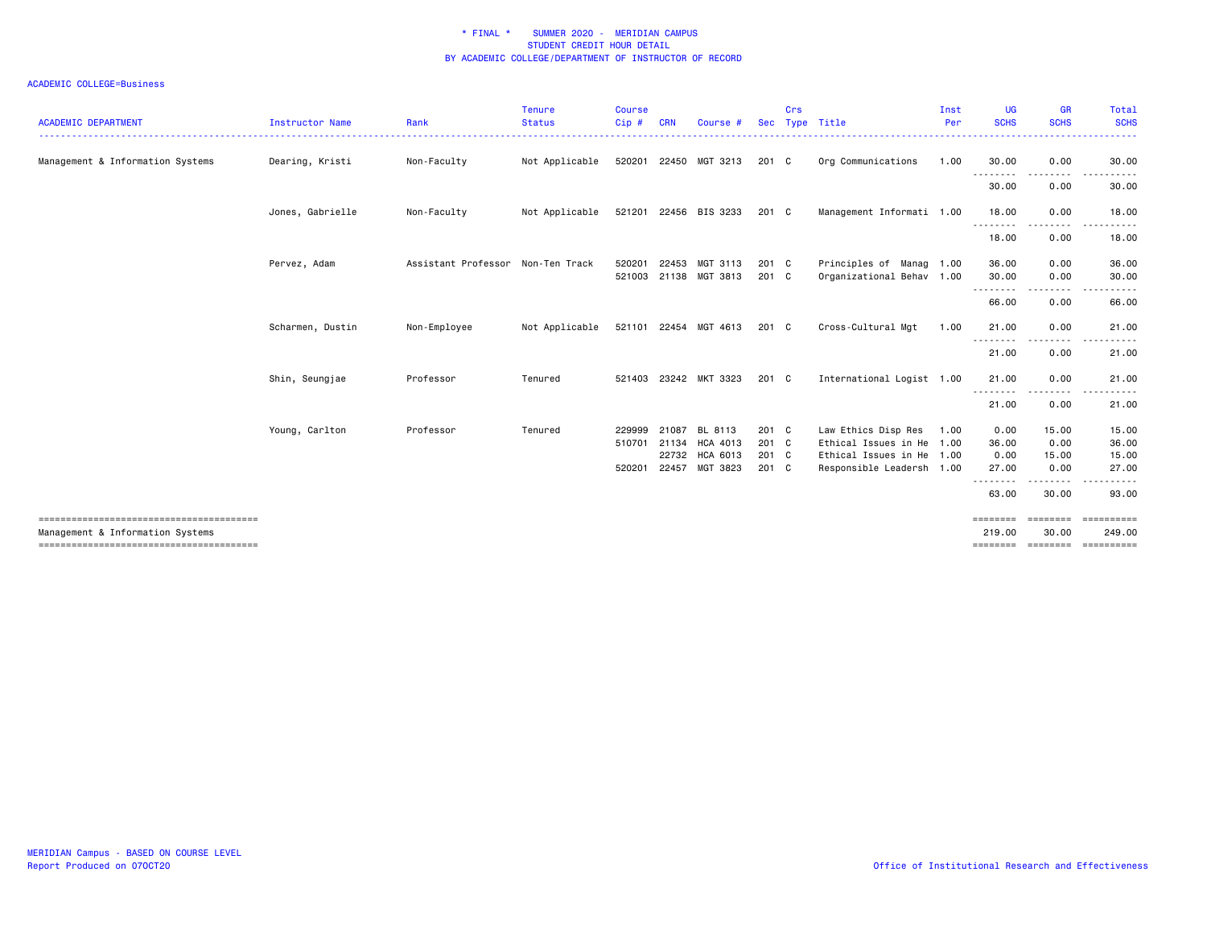| <b>ACADEMIC DEPARTMENT</b>       | <b>Instructor Name</b> | Rank                              | <b>Tenure</b><br><b>Status</b> | <b>Course</b><br>Cip#            | <b>CRN</b>              | Course                                      | <b>Sec</b>                       | Crs | Type Title                                                                                                 | Inst<br>Per | <b>UG</b><br><b>SCHS</b>       | <b>GR</b><br><b>SCHS</b>       | Total<br><b>SCHS</b>               |
|----------------------------------|------------------------|-----------------------------------|--------------------------------|----------------------------------|-------------------------|---------------------------------------------|----------------------------------|-----|------------------------------------------------------------------------------------------------------------|-------------|--------------------------------|--------------------------------|------------------------------------|
| Management & Information Systems | Dearing, Kristi        | Non-Faculty                       | Not Applicable                 |                                  |                         | 520201 22450 MGT 3213                       | $201 \quad C$                    |     | Org Communications                                                                                         | 1.00        | 30.00                          | 0.00                           | 30.00                              |
|                                  |                        |                                   |                                |                                  |                         |                                             |                                  |     |                                                                                                            |             | .<br>30.00                     | 0.00                           | 30.00                              |
|                                  | Jones, Gabrielle       | Non-Faculty                       | Not Applicable                 |                                  |                         | 521201 22456 BIS 3233                       | 201 C                            |     | Management Informati 1.00                                                                                  |             | 18.00                          | 0.00                           | 18.00                              |
|                                  |                        |                                   |                                |                                  |                         |                                             |                                  |     |                                                                                                            |             | <u>.</u><br>18.00              | 0.00                           | 18.00                              |
|                                  | Pervez, Adam           | Assistant Professor Non-Ten Track |                                | 520201                           |                         | 22453 MGT 3113<br>521003 21138 MGT 3813     | $201 \quad C$<br>$201 \quad C$   |     | Principles of Manag 1.00<br>Organizational Behav 1.00                                                      |             | 36.00<br>30.00                 | 0.00<br>0.00<br>. <u>. .</u>   | 36.00<br>30.00                     |
|                                  |                        |                                   |                                |                                  |                         |                                             |                                  |     |                                                                                                            |             | ---------<br>66.00             | 0.00                           | 66.00                              |
|                                  | Scharmen, Dustin       | Non-Employee                      | Not Applicable                 |                                  |                         | 521101 22454 MGT 4613                       | 201 C                            |     | Cross-Cultural Mgt                                                                                         | 1.00        | 21.00                          | 0.00                           | 21.00                              |
|                                  |                        |                                   |                                |                                  |                         |                                             |                                  |     |                                                                                                            |             | .<br>21.00                     | 0.00                           | 21.00                              |
|                                  | Shin, Seungjae         | Professor                         | Tenured                        |                                  |                         | 521403 23242 MKT 3323                       | $201 \quad C$                    |     | International Logist 1.00                                                                                  |             | 21.00                          | 0.00                           | 21.00                              |
|                                  |                        |                                   |                                |                                  |                         |                                             |                                  |     |                                                                                                            |             | .<br>21.00                     | 0.00                           | 21.00                              |
|                                  | Young, Carlton         | Professor                         | Tenured                        | 229999<br>510701 21134<br>520201 | 21087<br>22732<br>22457 | BL 8113<br>HCA 4013<br>HCA 6013<br>MGT 3823 | 201 C<br>201 C<br>201 C<br>201 C |     | Law Ethics Disp Res<br>Ethical Issues in He 1.00<br>Ethical Issues in He 1.00<br>Responsible Leadersh 1.00 | 1.00        | 0.00<br>36.00<br>0.00<br>27.00 | 15.00<br>0.00<br>15.00<br>0.00 | 15.00<br>36.00<br>15.00<br>27.00   |
|                                  |                        |                                   |                                |                                  |                         |                                             |                                  |     |                                                                                                            |             | --------<br>63.00              | .<br>30.00                     | 93.00                              |
| Management & Information Systems |                        |                                   |                                |                                  |                         |                                             |                                  |     |                                                                                                            |             | ========<br>219.00<br>======== | ========<br>30,00<br>========  | ==========<br>249,00<br>========== |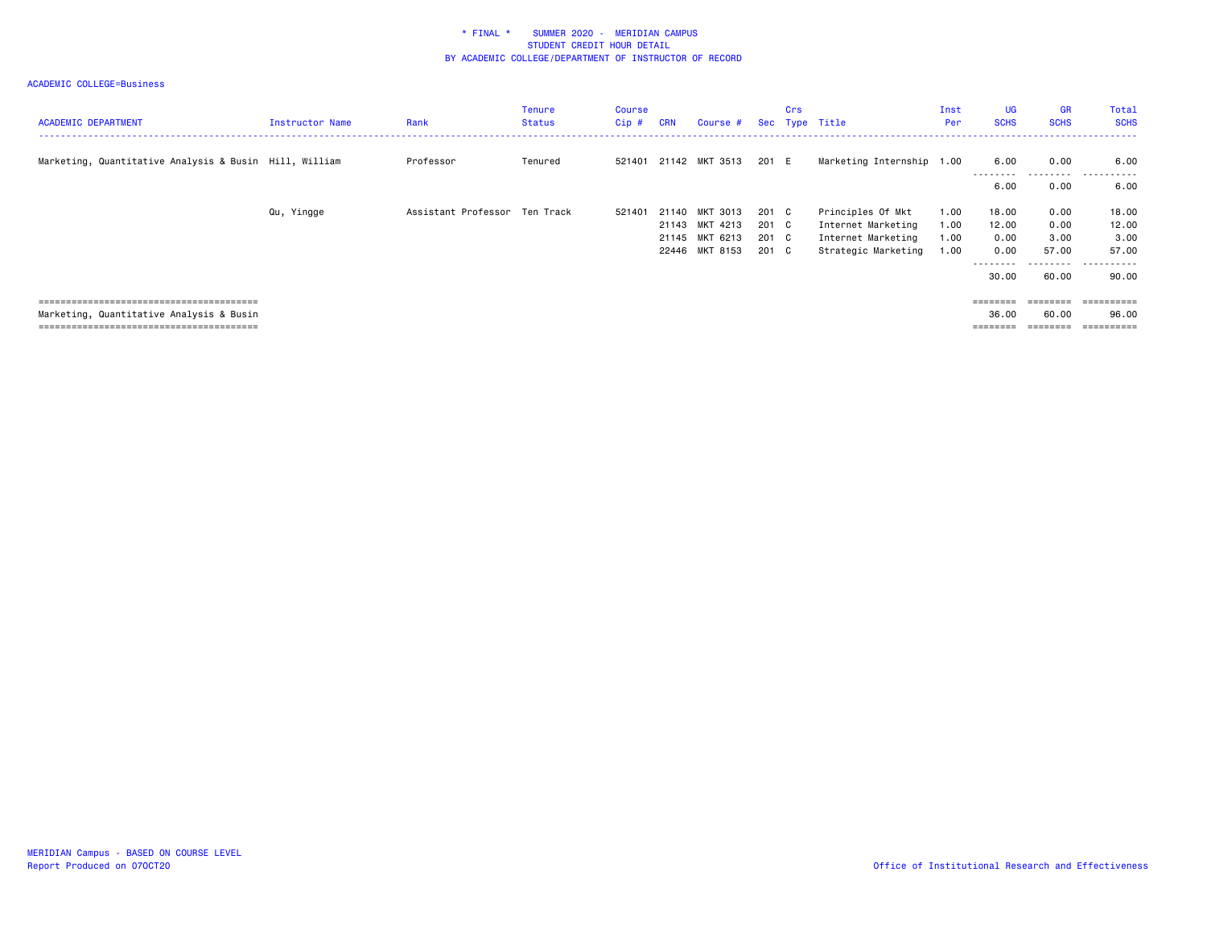| <b>ACADEMIC DEPARTMENT</b>                             | Instructor Name | Rank                          | <b>Tenure</b><br><b>Status</b> | Course<br>Cip# | <b>CRN</b> | Course #              |       | Crs | Sec Type Title            | Inst<br>Per | <b>UG</b><br><b>SCHS</b> | <b>GR</b><br><b>SCHS</b> | Total<br><b>SCHS</b>                |
|--------------------------------------------------------|-----------------|-------------------------------|--------------------------------|----------------|------------|-----------------------|-------|-----|---------------------------|-------------|--------------------------|--------------------------|-------------------------------------|
| Marketing, Quantitative Analysis & Busin Hill, William |                 | Professor                     | Tenured                        |                |            | 521401 21142 MKT 3513 | 201 E |     | Marketing Internship 1.00 |             | 6.00<br>---------        | 0.00<br>---------        | 6.00<br>-----<br><u>- - - - - -</u> |
|                                                        |                 |                               |                                |                |            |                       |       |     |                           |             | 6.00                     | 0.00                     | 6.00                                |
|                                                        | Qu, Yingge      | Assistant Professor Ten Track |                                | 521401         |            | 21140 MKT 3013        | 201 C |     | Principles Of Mkt         | 1.00        | 18.00                    | 0.00                     | 18.00                               |
|                                                        |                 |                               |                                |                |            | 21143 MKT 4213        | 201 C |     | Internet Marketing        | 1.00        | 12.00                    | 0.00                     | 12.00                               |
|                                                        |                 |                               |                                |                |            | 21145 MKT 6213        | 201 C |     | Internet Marketing        | 1.00        | 0.00                     | 3.00                     | 3.00                                |
|                                                        |                 |                               |                                |                |            | 22446 MKT 8153        | 201 C |     | Strategic Marketing       | 1.00        | 0.00                     | 57.00                    | 57.00                               |
|                                                        |                 |                               |                                |                |            |                       |       |     |                           |             | --------<br>30.00        | --------<br>60.00        | - - - - - -<br>$  -$<br>90.00       |
|                                                        |                 |                               |                                |                |            |                       |       |     |                           |             | $=$ = = = = = = =        | $=$ = = = = = = =        |                                     |
| Marketing, Quantitative Analysis & Busin               |                 |                               |                                |                |            |                       |       |     |                           |             | 36.00                    | 60.00                    | 96.00                               |
|                                                        |                 |                               |                                |                |            |                       |       |     |                           |             |                          | ========                 | ==========                          |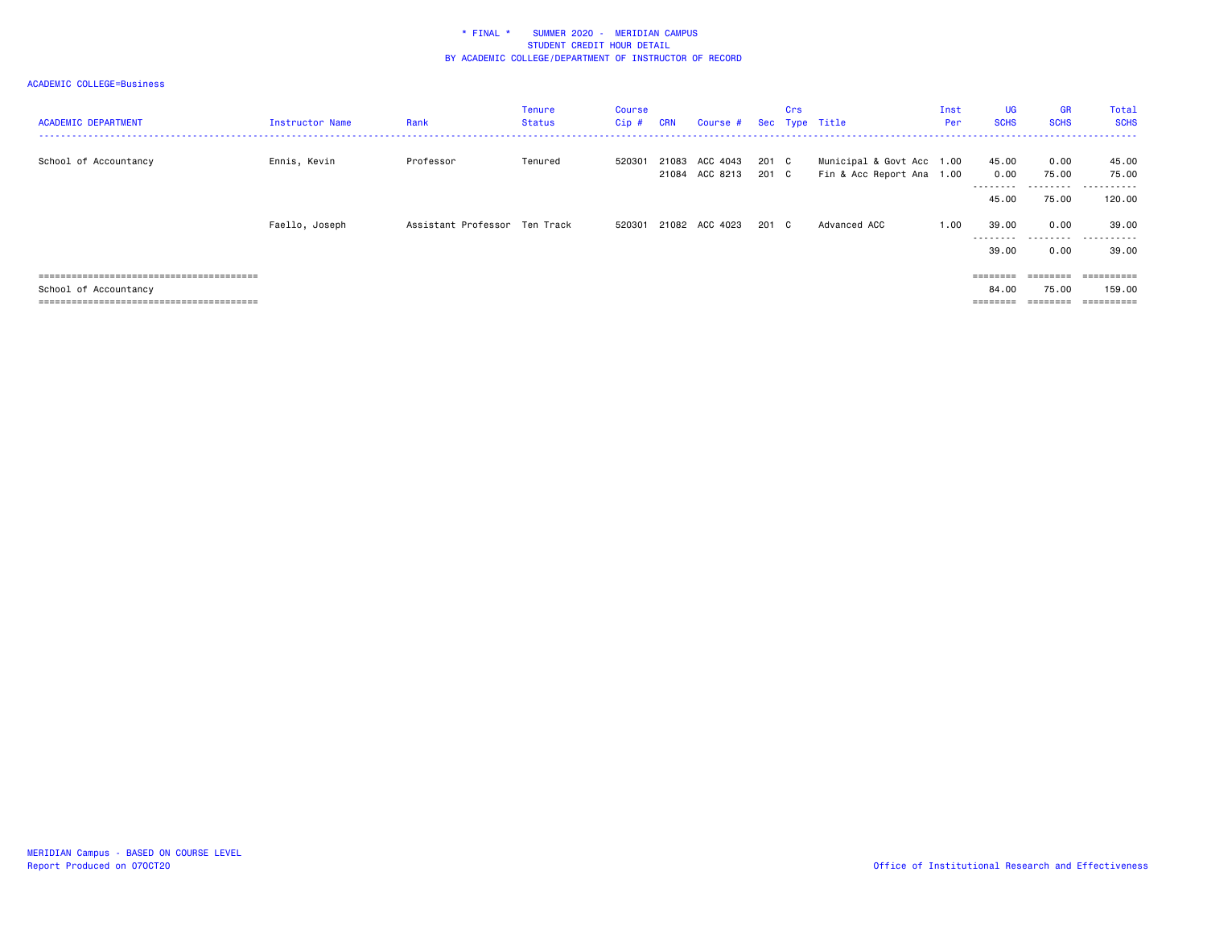| <b>ACADEMIC DEPARTMENT</b> | Instructor Name | Rank                          | <b>Tenure</b><br><b>Status</b> | Course<br>Cip # | <b>CRN</b> | Course #                         |                | Crs | Sec Type Title                                         | Inst<br>Per | <b>UG</b><br><b>SCHS</b>   | <b>GR</b><br><b>SCHS</b>   | Total<br><b>SCHS</b>              |
|----------------------------|-----------------|-------------------------------|--------------------------------|-----------------|------------|----------------------------------|----------------|-----|--------------------------------------------------------|-------------|----------------------------|----------------------------|-----------------------------------|
| School of Accountancy      | Ennis, Kevin    | Professor                     | Tenured                        | 520301          |            | 21083 ACC 4043<br>21084 ACC 8213 | 201 C<br>201 C |     | Municipal & Govt Acc 1.00<br>Fin & Acc Report Ana 1.00 |             | 45.00<br>0.00<br>--------- | 0.00<br>75.00<br>--------- | 45.00<br>75.00<br>------<br>$- -$ |
|                            |                 |                               |                                |                 |            |                                  |                |     |                                                        |             | 45.00                      | 75.00                      | 120.00                            |
|                            | Faello, Joseph  | Assistant Professor Ten Track |                                | 520301          |            | 21082 ACC 4023                   | 201 C          |     | Advanced ACC                                           | 1.00        | 39.00<br>---------         | 0.00<br>.                  | 39.00<br>.                        |
|                            |                 |                               |                                |                 |            |                                  |                |     |                                                        |             | 39.00                      | 0.00                       | 39.00                             |
|                            |                 |                               |                                |                 |            |                                  |                |     |                                                        |             | ========                   | $=$ = = = = = = =          | ==========                        |
| School of Accountancy      |                 |                               |                                |                 |            |                                  |                |     |                                                        |             | 84.00                      | 75.00                      | 159.00                            |
|                            |                 |                               |                                |                 |            |                                  |                |     |                                                        |             |                            |                            | ==========                        |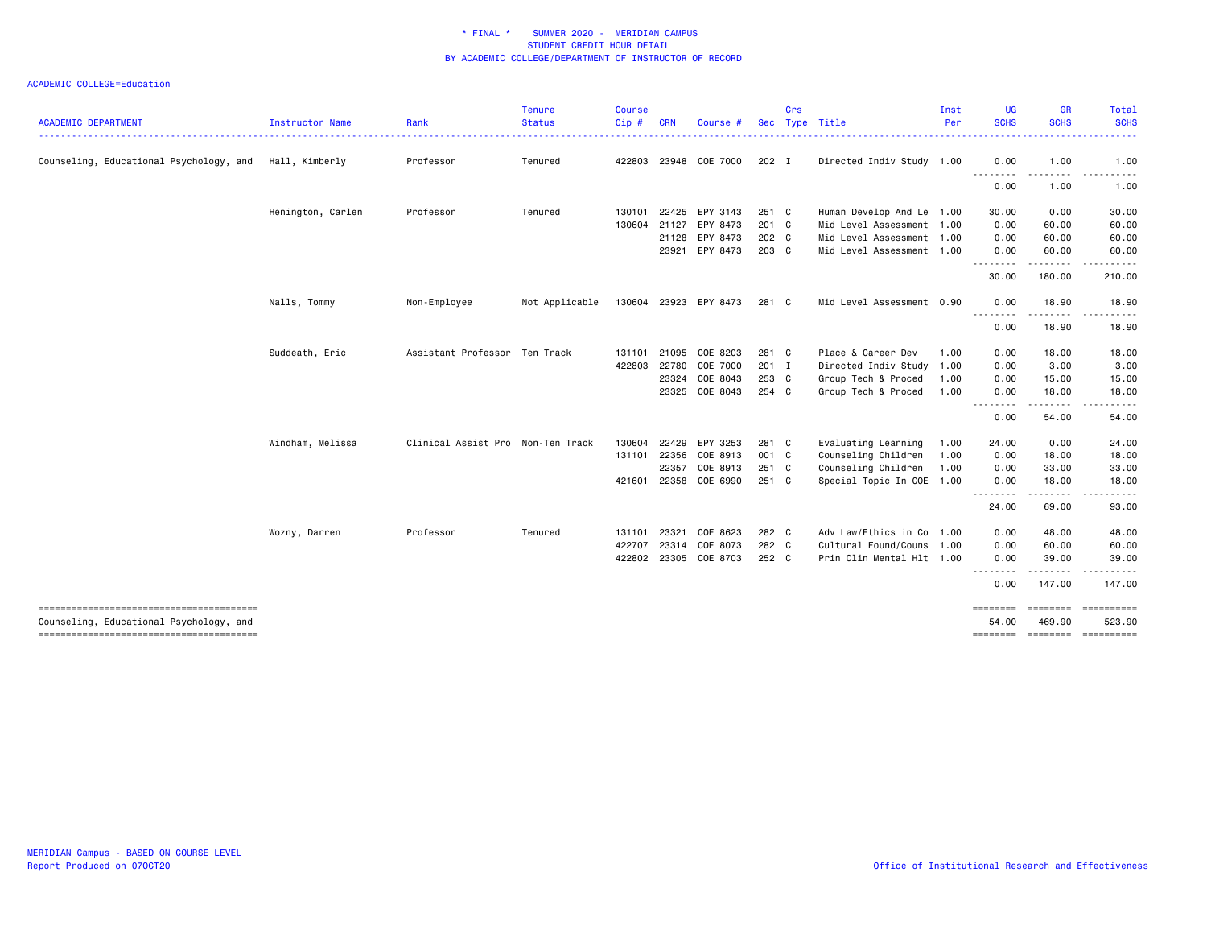| <b>ACADEMIC DEPARTMENT</b>              | Instructor Name   | Rank                              | <b>Tenure</b><br><b>Status</b> | <b>Course</b><br>Cip# | <b>CRN</b> | Course #              |       | Crs | Sec Type Title            | Inst<br>Per | <b>UG</b><br><b>SCHS</b>            | <b>GR</b><br><b>SCHS</b>                                                                                                                                      | Total<br><b>SCHS</b>   |
|-----------------------------------------|-------------------|-----------------------------------|--------------------------------|-----------------------|------------|-----------------------|-------|-----|---------------------------|-------------|-------------------------------------|---------------------------------------------------------------------------------------------------------------------------------------------------------------|------------------------|
|                                         |                   |                                   |                                |                       |            |                       |       |     |                           |             |                                     |                                                                                                                                                               | .                      |
| Counseling, Educational Psychology, and | Hall, Kimberly    | Professor                         | Tenured                        |                       |            | 422803 23948 COE 7000 | 202 I |     | Directed Indiv Study 1.00 |             | 0.00                                | 1.00<br>.                                                                                                                                                     | 1.00<br>$- - -$<br>.   |
|                                         |                   |                                   |                                |                       |            |                       |       |     |                           |             | ---------<br>0.00                   | 1.00                                                                                                                                                          | 1.00                   |
|                                         | Henington, Carlen | Professor                         | Tenured                        | 130101                | 22425      | EPY 3143              | 251 C |     | Human Develop And Le 1.00 |             | 30.00                               | 0.00                                                                                                                                                          | 30.00                  |
|                                         |                   |                                   |                                | 130604                | 21127      | EPY 8473              | 201 C |     | Mid Level Assessment 1.00 |             | 0.00                                | 60.00                                                                                                                                                         | 60.00                  |
|                                         |                   |                                   |                                |                       | 21128      | EPY 8473              | 202 C |     | Mid Level Assessment 1.00 |             | 0.00                                | 60.00                                                                                                                                                         | 60.00                  |
|                                         |                   |                                   |                                |                       | 23921      | EPY 8473              | 203 C |     | Mid Level Assessment 1.00 |             | 0.00<br><u>.</u>                    | 60.00<br>. <b>.</b>                                                                                                                                           | 60.00<br>------        |
|                                         |                   |                                   |                                |                       |            |                       |       |     |                           |             | 30.00                               | 180.00                                                                                                                                                        | 210.00                 |
|                                         | Nalls, Tommy      | Non-Employee                      | Not Applicable                 |                       |            | 130604 23923 EPY 8473 | 281 C |     | Mid Level Assessment 0.90 |             | 0.00<br>.                           | 18.90<br><u>.</u>                                                                                                                                             | 18.90<br>$\frac{1}{2}$ |
|                                         |                   |                                   |                                |                       |            |                       |       |     |                           |             | 0.00                                | 18.90                                                                                                                                                         | 18.90                  |
|                                         | Suddeath, Eric    | Assistant Professor Ten Track     |                                | 131101                | 21095      | COE 8203              | 281 C |     | Place & Career Dev        | 1.00        | 0.00                                | 18,00                                                                                                                                                         | 18.00                  |
|                                         |                   |                                   |                                | 422803                | 22780      | COE 7000              | 201 I |     | Directed Indiv Study      | 1.00        | 0.00                                | 3.00                                                                                                                                                          | 3.00                   |
|                                         |                   |                                   |                                |                       | 23324      | COE 8043              | 253 C |     | Group Tech & Proced       | 1.00        | 0.00                                | 15.00                                                                                                                                                         | 15.00                  |
|                                         |                   |                                   |                                |                       |            | 23325 COE 8043        | 254 C |     | Group Tech & Proced       | 1.00        | 0.00<br><u>.</u>                    | 18.00<br>$\frac{1}{2} \left( \frac{1}{2} \right) \left( \frac{1}{2} \right) \left( \frac{1}{2} \right) \left( \frac{1}{2} \right) \left( \frac{1}{2} \right)$ | 18.00<br>$\frac{1}{2}$ |
|                                         |                   |                                   |                                |                       |            |                       |       |     |                           |             | 0.00                                | 54.00                                                                                                                                                         | 54.00                  |
|                                         | Windham, Melissa  | Clinical Assist Pro Non-Ten Track |                                | 130604                | 22429      | EPY 3253              | 281 C |     | Evaluating Learning       | 1.00        | 24.00                               | 0.00                                                                                                                                                          | 24.00                  |
|                                         |                   |                                   |                                | 131101                | 22356      | COE 8913              | 001 C |     | Counseling Children       | 1.00        | 0.00                                | 18.00                                                                                                                                                         | 18.00                  |
|                                         |                   |                                   |                                |                       | 22357      | COE 8913              | 251 C |     | Counseling Children       | 1.00        | 0.00                                | 33.00                                                                                                                                                         | 33.00                  |
|                                         |                   |                                   |                                | 421601                | 22358      | COE 6990              | 251 C |     | Special Topic In COE 1.00 |             | 0.00<br>.                           | 18.00<br>.                                                                                                                                                    | 18.00<br>.             |
|                                         |                   |                                   |                                |                       |            |                       |       |     |                           |             | 24.00                               | 69.00                                                                                                                                                         | 93.00                  |
|                                         | Wozny, Darren     | Professor                         | Tenured                        | 131101                | 23321      | COE 8623              | 282 C |     | Adv Law/Ethics in Co 1.00 |             | 0.00                                | 48.00                                                                                                                                                         | 48.00                  |
|                                         |                   |                                   |                                | 422707                | 23314      | COE 8073              | 282 C |     | Cultural Found/Couns 1.00 |             | 0.00                                | 60.00                                                                                                                                                         | 60.00                  |
|                                         |                   |                                   |                                | 422802                |            | 23305 COE 8703        | 252 C |     | Prin Clin Mental Hlt 1.00 |             | 0.00                                | 39.00<br>.                                                                                                                                                    | 39.00<br>.             |
|                                         |                   |                                   |                                |                       |            |                       |       |     |                           |             | 0.00                                | 147.00                                                                                                                                                        | 147.00                 |
|                                         |                   |                                   |                                |                       |            |                       |       |     |                           |             |                                     | $=$ =======                                                                                                                                                   | <b>CONSECTED</b>       |
| Counseling, Educational Psychology, and |                   |                                   |                                |                       |            |                       |       |     |                           |             | 54.00<br>$=$ ======== $=$ ========= | 469.90                                                                                                                                                        | 523.90<br>-----------  |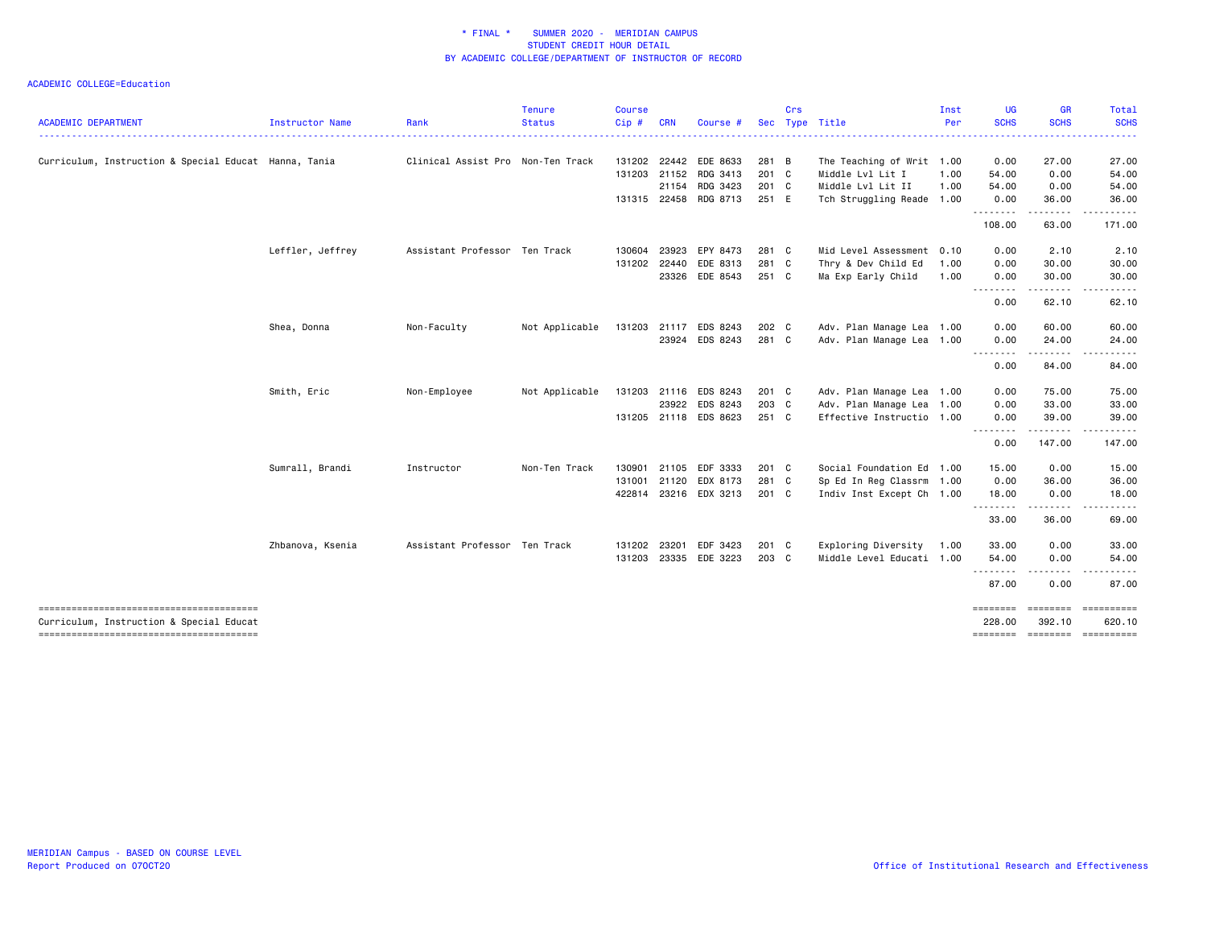|                                                       |                  |                                   | <b>Tenure</b>  | <b>Course</b> |            |                       |            | Crs |                                        | Inst | <b>UG</b><br><b>SCHS</b> | GR<br><b>SCHS</b>     | Total<br><b>SCHS</b>                   |
|-------------------------------------------------------|------------------|-----------------------------------|----------------|---------------|------------|-----------------------|------------|-----|----------------------------------------|------|--------------------------|-----------------------|----------------------------------------|
| <b>ACADEMIC DEPARTMENT</b>                            | Instructor Name  | Rank                              | <b>Status</b>  | Cip#          | <b>CRN</b> | Course                | <b>Sec</b> |     | Type Title<br>------------------------ | Per  |                          |                       | .                                      |
| Curriculum, Instruction & Special Educat Hanna, Tania |                  | Clinical Assist Pro Non-Ten Track |                | 131202        |            | 22442 EDE 8633        | 281 B      |     | The Teaching of Writ 1.00              |      | 0.00                     | 27.00                 | 27.00                                  |
|                                                       |                  |                                   |                |               |            | 131203 21152 RDG 3413 | 201 C      |     | Middle Lvl Lit I                       | 1.00 | 54.00                    | 0.00                  | 54.00                                  |
|                                                       |                  |                                   |                |               |            | 21154 RDG 3423        | 201 C      |     | Middle Lvl Lit II                      | 1.00 | 54.00                    | 0.00                  | 54.00                                  |
|                                                       |                  |                                   |                |               |            | 131315 22458 RDG 8713 | 251 E      |     | Tch Struggling Reade 1.00              |      | 0.00<br>.                | 36.00<br>. <b>.</b> . | 36.00<br>. <b>.</b> .                  |
|                                                       |                  |                                   |                |               |            |                       |            |     |                                        |      | 108.00                   | 63.00                 | 171.00                                 |
|                                                       | Leffler, Jeffrey | Assistant Professor Ten Track     |                | 130604        |            | 23923 EPY 8473        | 281 C      |     | Mid Level Assessment 0.10              |      | 0.00                     | 2.10                  | 2.10                                   |
|                                                       |                  |                                   |                | 131202        |            | 22440 EDE 8313        | 281 C      |     | Thry & Dev Child Ed                    | 1.00 | 0.00                     | 30.00                 | 30.00                                  |
|                                                       |                  |                                   |                |               |            | 23326 EDE 8543        | 251 C      |     | Ma Exp Early Child                     | 1.00 | 0.00<br>.                | 30.00                 | 30.00                                  |
|                                                       |                  |                                   |                |               |            |                       |            |     |                                        |      | 0.00                     | 62.10                 | 62.10                                  |
|                                                       | Shea, Donna      | Non-Faculty                       | Not Applicable |               |            | 131203 21117 EDS 8243 | 202 C      |     | Adv. Plan Manage Lea 1.00              |      | 0.00                     | 60.00                 | 60.00                                  |
|                                                       |                  |                                   |                |               |            | 23924 EDS 8243        | 281 C      |     | Adv. Plan Manage Lea 1.00              |      | 0.00                     | 24.00                 | 24.00                                  |
|                                                       |                  |                                   |                |               |            |                       |            |     |                                        |      | <u>.</u><br>0.00         | 84.00                 | 84.00                                  |
|                                                       | Smith, Eric      | Non-Employee                      | Not Applicable |               |            | 131203 21116 EDS 8243 | 201 C      |     | Adv. Plan Manage Lea 1.00              |      | 0.00                     | 75.00                 | 75.00                                  |
|                                                       |                  |                                   |                |               |            | 23922 EDS 8243        | 203 C      |     | Adv. Plan Manage Lea 1.00              |      | 0.00                     | 33.00                 | 33.00                                  |
|                                                       |                  |                                   |                |               |            | 131205 21118 EDS 8623 | $251$ C    |     | Effective Instructio 1.00              |      | 0.00<br><u>.</u>         | 39.00<br>.            | 39.00                                  |
|                                                       |                  |                                   |                |               |            |                       |            |     |                                        |      | 0.00                     | 147.00                | 147.00                                 |
|                                                       | Sumrall, Brandi  | Instructor                        | Non-Ten Track  | 130901        |            | 21105 EDF 3333        | 201 C      |     | Social Foundation Ed 1.00              |      | 15.00                    | 0.00                  | 15.00                                  |
|                                                       |                  |                                   |                | 131001        |            | 21120 EDX 8173        | 281 C      |     | Sp Ed In Reg Classrm 1.00              |      | 0.00                     | 36.00                 | 36.00                                  |
|                                                       |                  |                                   |                | 422814        |            | 23216 EDX 3213        | 201 C      |     | Indiv Inst Except Ch 1.00              |      | 18.00<br>.               | 0.00<br>.             | 18.00<br>------                        |
|                                                       |                  |                                   |                |               |            |                       |            |     |                                        |      | 33.00                    | 36.00                 | 69.00                                  |
|                                                       | Zhbanova, Ksenia | Assistant Professor Ten Track     |                | 131202        | 23201      | EDF 3423              | 201 C      |     | Exploring Diversity                    | 1.00 | 33.00                    | 0.00                  | 33.00                                  |
|                                                       |                  |                                   |                | 131203        |            | 23335 EDE 3223        | 203 C      |     | Middle Level Educati 1.00              |      | 54.00<br><u>.</u>        | 0.00                  | 54.00                                  |
|                                                       |                  |                                   |                |               |            |                       |            |     |                                        |      | 87.00                    | 0.00                  | 87.00                                  |
| Curriculum, Instruction & Special Educat              |                  |                                   |                |               |            |                       |            |     |                                        |      | ========<br>228,00       | 392.10                | $=$ ======== $=$ ===========<br>620.10 |
|                                                       |                  |                                   |                |               |            |                       |            |     |                                        |      | ========                 |                       | ========= ==========                   |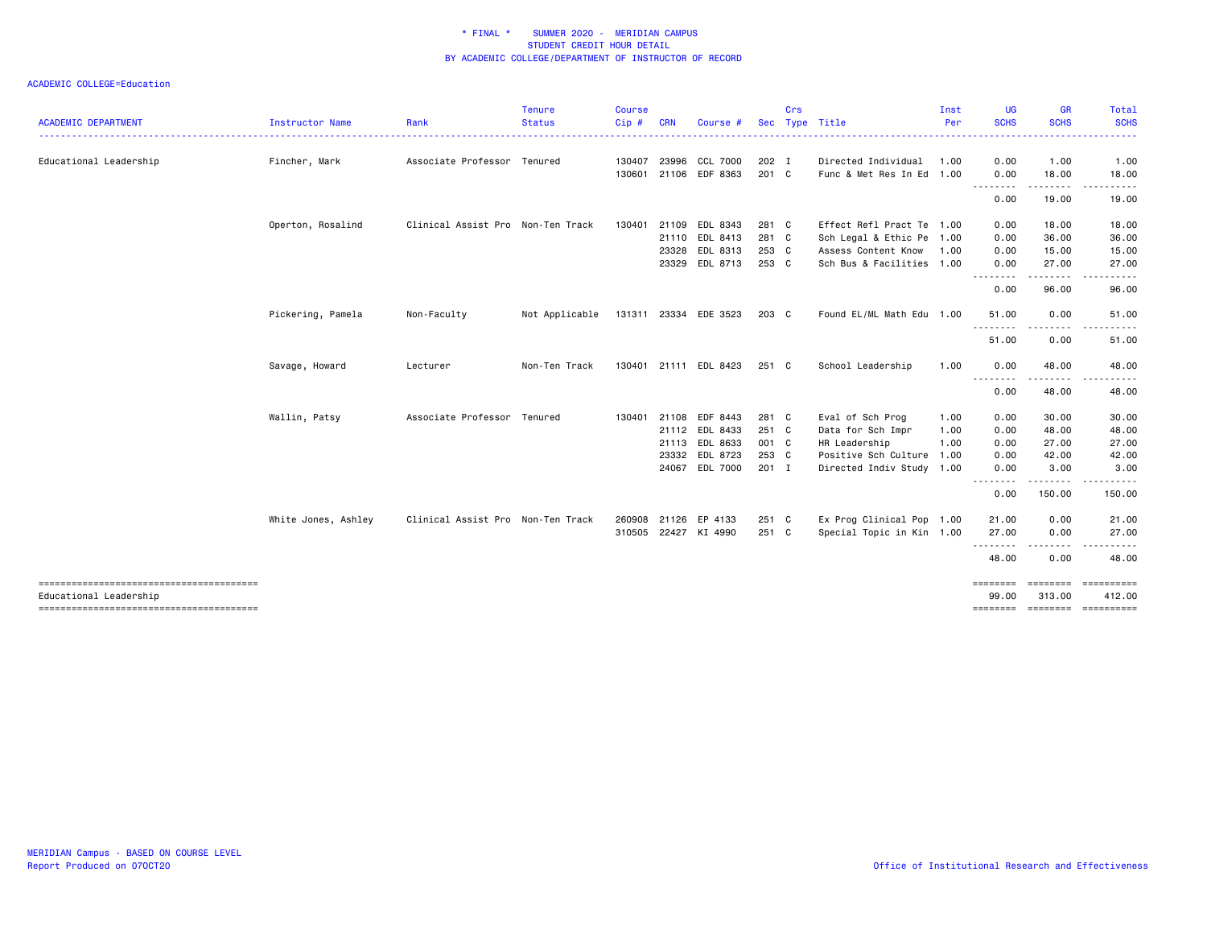| <b>ACADEMIC DEPARTMENT</b> | Instructor Name     | Rank                              | <b>Tenure</b><br><b>Status</b> | Course<br>Cip# | <b>CRN</b>   | Course                |         | Crs | Sec Type Title            | Inst<br>Per | <b>UG</b><br><b>SCHS</b> | <b>GR</b><br><b>SCHS</b>  | Total<br><b>SCHS</b> |
|----------------------------|---------------------|-----------------------------------|--------------------------------|----------------|--------------|-----------------------|---------|-----|---------------------------|-------------|--------------------------|---------------------------|----------------------|
|                            |                     |                                   |                                |                |              |                       |         |     | .                         |             |                          |                           |                      |
| Educational Leadership     | Fincher, Mark       | Associate Professor Tenured       |                                | 130407         |              | 23996 CCL 7000        | 202 I   |     | Directed Individual       | 1.00        | 0.00                     | 1.00                      | 1.00                 |
|                            |                     |                                   |                                | 130601         |              | 21106 EDF 8363        | 201 C   |     | Func & Met Res In Ed 1.00 |             | 0.00<br><u>.</u>         | 18.00<br>. <b>.</b> .     | 18.00                |
|                            |                     |                                   |                                |                |              |                       |         |     |                           |             | 0.00                     | 19.00                     | 19.00                |
|                            | Operton, Rosalind   | Clinical Assist Pro Non-Ten Track |                                | 130401         | 21109        | EDL 8343              | 281 C   |     | Effect Refl Pract Te 1.00 |             | 0.00                     | 18.00                     | 18.00                |
|                            |                     |                                   |                                |                | 21110        | EDL 8413              | 281 C   |     | Sch Legal & Ethic Pe 1.00 |             | 0.00                     | 36.00                     | 36.00                |
|                            |                     |                                   |                                |                |              | 23328 EDL 8313        | 253 C   |     | Assess Content Know       | 1.00        | 0.00                     | 15.00                     | 15.00                |
|                            |                     |                                   |                                |                |              | 23329 EDL 8713        | 253 C   |     | Sch Bus & Facilities 1.00 |             | 0.00<br>.                | 27.00<br><u>.</u>         | 27.00                |
|                            |                     |                                   |                                |                |              |                       |         |     |                           |             | 0.00                     | 96.00                     | 96.00                |
|                            | Pickering, Pamela   | Non-Faculty                       | Not Applicable                 |                |              | 131311 23334 EDE 3523 | 203 C   |     | Found EL/ML Math Edu 1.00 |             | 51.00                    | 0.00                      | 51.00                |
|                            |                     |                                   |                                |                |              |                       |         |     |                           |             | <u>.</u><br>51.00        | 0.00                      | 51.00                |
|                            | Savage, Howard      | Lecturer                          | Non-Ten Track                  |                |              | 130401 21111 EDL 8423 | 251 C   |     | School Leadership         | 1.00        | 0.00                     | 48.00                     | 48.00                |
|                            |                     |                                   |                                |                |              |                       |         |     |                           |             | 0.00                     | 48.00                     | 48.00                |
|                            | Wallin, Patsy       | Associate Professor Tenured       |                                |                | 130401 21108 | EDF 8443              | 281 C   |     | Eval of Sch Prog          | 1.00        | 0.00                     | 30.00                     | 30.00                |
|                            |                     |                                   |                                |                |              | 21112 EDL 8433        | 251 C   |     | Data for Sch Impr         | 1.00        | 0.00                     | 48.00                     | 48.00                |
|                            |                     |                                   |                                |                |              | 21113 EDL 8633        | 001 C   |     | HR Leadership             | 1.00        | 0.00                     | 27.00                     | 27.00                |
|                            |                     |                                   |                                |                |              | 23332 EDL 8723        | 253 C   |     | Positive Sch Culture 1.00 |             | 0.00                     | 42.00                     | 42.00                |
|                            |                     |                                   |                                |                |              | 24067 EDL 7000        | 201 I   |     | Directed Indiv Study 1.00 |             | 0.00                     | 3.00                      | 3.00                 |
|                            |                     |                                   |                                |                |              |                       |         |     |                           |             | <u>.</u><br>0.00         | .<br>150.00               | 150.00               |
|                            | White Jones, Ashley | Clinical Assist Pro Non-Ten Track |                                | 260908         |              | 21126 EP 4133         | 251 C   |     | Ex Prog Clinical Pop 1.00 |             | 21.00                    | 0.00                      | 21.00                |
|                            |                     |                                   |                                |                |              | 310505 22427 KI 4990  | $251$ C |     | Special Topic in Kin 1.00 |             | 27.00                    | 0.00                      | 27.00                |
|                            |                     |                                   |                                |                |              |                       |         |     |                           |             | --------<br>48.00        | -----<br>0.00             | 48.00                |
| Educational Leadership     |                     |                                   |                                |                |              |                       |         |     |                           |             | ========<br>99.00        | <b>CONSIDER</b><br>313.00 | ==========<br>412.00 |
|                            |                     |                                   |                                |                |              |                       |         |     |                           |             | ========                 |                           | ========= ========== |